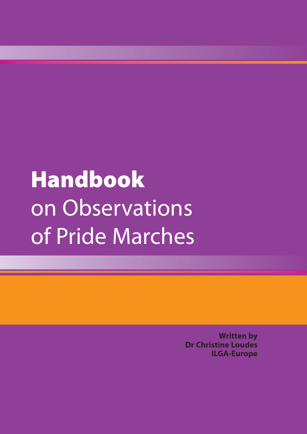# **Handbook**  on Observations of Pride Marches

**Written by Dr Christine Loudes ILGA-Europe**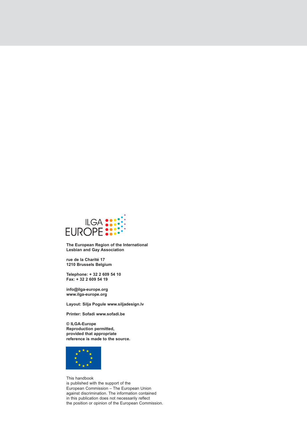

**The European Region of the International Lesbian and Gay Association**

**rue de la Charité 17 1210 Brussels Belgium**

**Telephone: + 32 2 609 54 10 Fax: + 32 2 609 54 19**

**info@ilga-europe.org www.ilga-europe.org**

**Layout: Silja Pogule www.siljadesign.lv**

**Printer: Sofadi www.sofadi.be**

**© ILGA-Europe Reproduction permitted, provided that appropriate reference is made to the source.**



This handbook is published with the support of the European Commission – The European Union against discrimination. The information contained in this publication does not necessarily reflect the position or opinion of the European Commission.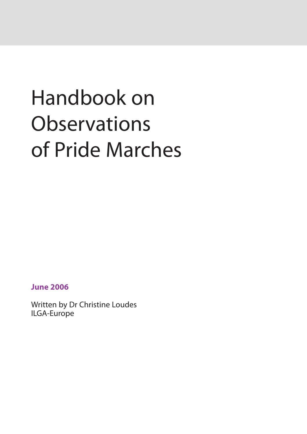# Handbook on **Observations** of Pride Marches

**June 2006**

Written by Dr Christine Loudes ILGA-Europe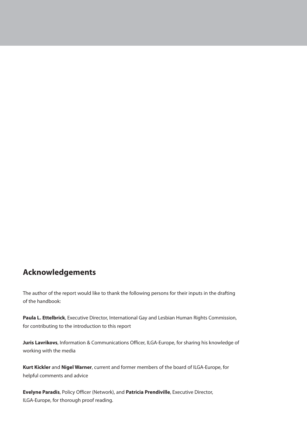### **Acknowledgements**

The author of the report would like to thank the following persons for their inputs in the drafting of the handbook:

**Paula L. Ettelbrick**, Executive Director, International Gay and Lesbian Human Rights Commission, for contributing to the introduction to this report

**Juris Lavrikovs**, Information & Communications Officer, ILGA-Europe, for sharing his knowledge of working with the media

**Kurt Kickler** and **Nigel Warner**, current and former members of the board of ILGA-Europe, for helpful comments and advice

**Evelyne Paradis**, Policy Officer (Network), and **Patricia Prendiville**, Executive Director, ILGA-Europe, for thorough proof reading.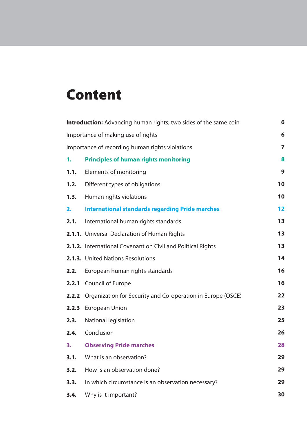# **Content**

| <b>Introduction:</b> Advancing human rights; two sides of the same coin<br>6 |                                                                          |    |  |  |
|------------------------------------------------------------------------------|--------------------------------------------------------------------------|----|--|--|
| Importance of making use of rights                                           |                                                                          |    |  |  |
| 7<br>Importance of recording human rights violations                         |                                                                          |    |  |  |
| 1.                                                                           | <b>Principles of human rights monitoring</b>                             | 8  |  |  |
| 1.1.                                                                         | Elements of monitoring                                                   | 9  |  |  |
| 1.2.                                                                         | Different types of obligations                                           | 10 |  |  |
| 1.3.                                                                         | Human rights violations                                                  | 10 |  |  |
| 2.                                                                           | <b>International standards regarding Pride marches</b>                   | 12 |  |  |
| 2.1.                                                                         | International human rights standards                                     | 13 |  |  |
|                                                                              | 2.1.1. Universal Declaration of Human Rights                             | 13 |  |  |
|                                                                              | 2.1.2. International Covenant on Civil and Political Rights              | 13 |  |  |
|                                                                              | 2.1.3. United Nations Resolutions                                        | 14 |  |  |
| 2.2.                                                                         | European human rights standards                                          | 16 |  |  |
| 2.2.1                                                                        | Council of Europe                                                        | 16 |  |  |
|                                                                              | <b>2.2.2</b> Organization for Security and Co-operation in Europe (OSCE) | 22 |  |  |
| 2.2.3                                                                        | <b>European Union</b>                                                    | 23 |  |  |
| 2.3.                                                                         | National legislation                                                     | 25 |  |  |
| 2.4.                                                                         | Conclusion                                                               | 26 |  |  |
| 3.                                                                           | <b>Observing Pride marches</b>                                           | 28 |  |  |
| 3.1.                                                                         | What is an observation?                                                  | 29 |  |  |
| 3.2.                                                                         | How is an observation done?                                              | 29 |  |  |
| 3.3.                                                                         | In which circumstance is an observation necessary?                       | 29 |  |  |
| 3.4.                                                                         | Why is it important?                                                     | 30 |  |  |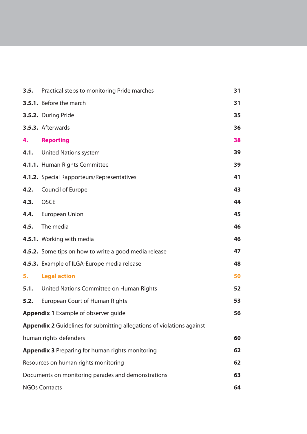|                                                               | <b>3.5.</b> Practical steps to monitoring Pride marches                       | 31 |  |
|---------------------------------------------------------------|-------------------------------------------------------------------------------|----|--|
|                                                               | 3.5.1. Before the march                                                       | 31 |  |
|                                                               | 3.5.2. During Pride                                                           | 35 |  |
|                                                               | 3.5.3. Afterwards                                                             | 36 |  |
| 4.                                                            | <b>Reporting</b>                                                              | 38 |  |
|                                                               | 4.1. United Nations system                                                    | 39 |  |
|                                                               | 4.1.1. Human Rights Committee                                                 | 39 |  |
|                                                               | 4.1.2. Special Rapporteurs/Representatives                                    | 41 |  |
| 4.2.                                                          | Council of Europe                                                             | 43 |  |
| 4.3.                                                          | <b>OSCE</b>                                                                   | 44 |  |
|                                                               | 4.4. European Union                                                           | 45 |  |
| 4.5.                                                          | The media                                                                     | 46 |  |
|                                                               | 4.5.1. Working with media                                                     | 46 |  |
|                                                               | <b>4.5.2.</b> Some tips on how to write a good media release                  | 47 |  |
|                                                               | 4.5.3. Example of ILGA-Europe media release                                   | 48 |  |
| 5.                                                            | <b>Legal action</b>                                                           | 50 |  |
|                                                               | <b>5.1.</b> United Nations Committee on Human Rights                          | 52 |  |
| 5.2.                                                          | <b>European Court of Human Rights</b>                                         | 53 |  |
| <b>Appendix 1</b> Example of observer guide<br>56             |                                                                               |    |  |
|                                                               | <b>Appendix 2</b> Guidelines for submitting allegations of violations against |    |  |
|                                                               | human rights defenders                                                        | 60 |  |
| <b>Appendix 3 Preparing for human rights monitoring</b><br>62 |                                                                               |    |  |
| Resources on human rights monitoring<br>62                    |                                                                               |    |  |
| Documents on monitoring parades and demonstrations<br>63      |                                                                               |    |  |
| <b>NGOs Contacts</b><br>64                                    |                                                                               |    |  |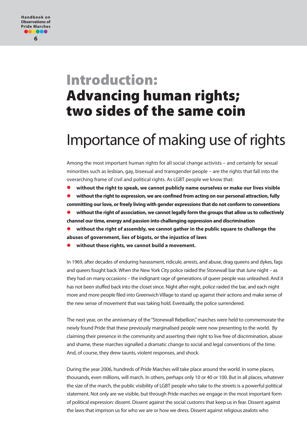#### **Handbook on Observations of Pride Marches** 1000 **6**

# **Introduction: Advancing human rights; two sides of the same coin**

# Importance of making use of rights

Among the most important human rights for all social change activists – and certainly for sexual minorities such as lesbian, gay, bisexual and transgender people – are the rights that fall into the overarching frame of civil and political rights. As LGBT people we know that:

 **without the right to speak, we cannot publicly name ourselves or make our lives visible without the right to expression, we are confined from acting on our personal attraction, fully committing our love, or freely living with gender expressions that do not conform to conventions**

 **without the right of association, we cannot legally form the groups that allow us to collectively channel our time, energy and passion into challenging oppression and discrimination**

 **without the right of assembly, we cannot gather in the public square to challenge the abuses of government, lies of bigots, or the injustice of laws**

**without these rights, we cannot build a movement.**

In 1969, after decades of enduring harassment, ridicule, arrests, and abuse, drag queens and dykes, fags and queers fought back. When the New York City police raided the Stonewall bar that June night – as they had on many occasions – the indignant rage of generations of queer people was unleashed. And it has not been stuffed back into the closet since. Night after night, police raided the bar, and each night more and more people filed into Greenwich Village to stand up against their actions and make sense of the new sense of movement that was taking hold. Eventually, the police surrendered.

The next year, on the anniversary of the "Stonewall Rebellion," marches were held to commemorate the newly found Pride that these previously marginalised people were now presenting to the world. By claiming their presence in the community and asserting their right to live free of discrimination, abuse and shame, these marches signalled a dramatic change to social and legal conventions of the time. And, of course, they drew taunts, violent responses, and shock.

During the year 2006, hundreds of Pride Marches will take place around the world. In some places, thousands, even millions, will march. In others, perhaps only 10 or 40 or 100. But in all places, whatever the size of the march, the public visibility of LGBT people who take to the streets is a powerful political statement. Not only are we visible, but through Pride marches we engage in the most important form of political expression: dissent. Dissent against the social customs that keep us in fear. Dissent against the laws that imprison us for who we are or how we dress. Dissent against religious zealots who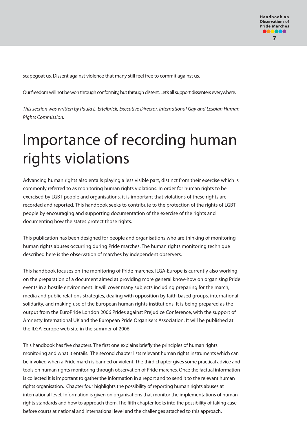scapegoat us. Dissent against violence that many still feel free to commit against us.

Our freedom will not be won through conformity, but through dissent. Let's all support dissenters everywhere.

This section was written by Paula L. Ettelbrick, Executive Director, International Gay and Lesbian Human Rights Commission.

# Importance of recording human rights violations

Advancing human rights also entails playing a less visible part, distinct from their exercise which is commonly referred to as monitoring human rights violations. In order for human rights to be exercised by LGBT people and organisations, it is important that violations of these rights are recorded and reported. This handbook seeks to contribute to the protection of the rights of LGBT people by encouraging and supporting documentation of the exercise of the rights and documenting how the states protect those rights.

This publication has been designed for people and organisations who are thinking of monitoring human rights abuses occurring during Pride marches. The human rights monitoring technique described here is the observation of marches by independent observers.

This handbook focuses on the monitoring of Pride marches. ILGA-Europe is currently also working on the preparation of a document aimed at providing more general know-how on organising Pride events in a hostile environment. It will cover many subjects including preparing for the march, media and public relations strategies, dealing with opposition by faith based groups, international solidarity, and making use of the European human rights institutions. It is being prepared as the output from the EuroPride London 2006 Prides against Prejudice Conference, with the support of Amnesty International UK and the European Pride Organisers Association. It will be published at the ILGA-Europe web site in the summer of 2006.

This handbook has five chapters. The first one explains briefly the principles of human rights monitoring and what it entails. The second chapter lists relevant human rights instruments which can be invoked when a Pride march is banned or violent. The third chapter gives some practical advice and tools on human rights monitoring through observation of Pride marches. Once the factual information is collected it is important to gather the information in a report and to send it to the relevant human rights organisation. Chapter four highlights the possibility of reporting human rights abuses at international level. Information is given on organisations that monitor the implementations of human rights standards and how to approach them. The fifth chapter looks into the possibility of taking case before courts at national and international level and the challenges attached to this approach.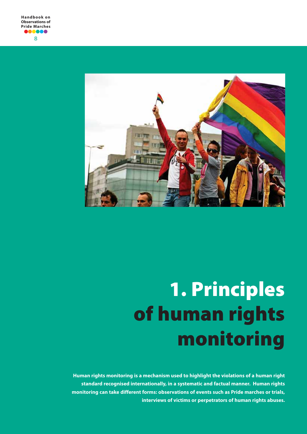

# **1. Principles of human rights monitoring**

**Human rights monitoring is a mechanism used to highlight the violations of a human right standard recognised internationally, in a systematic and factual manner. Human rights monitoring can take different forms: observations of events such as Pride marches or trials, interviews of victims or perpetrators of human rights abuses.**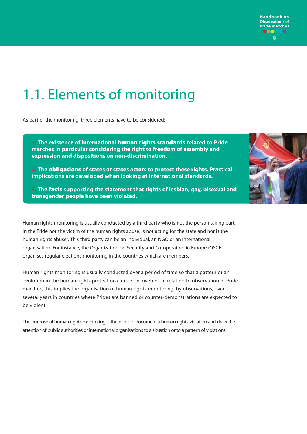

# 1.1. Elements of monitoring

As part of the monitoring, three elements have to be considered:

**1. The existence of international human rights standards related to Pride marches in particular considering the right to freedom of assembly and expression and dispositions on non-discrimination.** 

**2. The obligations of states or states actors to protect these rights. Practical implications are developed when looking at international standards.**

**3. The facts supporting the statement that rights of lesbian, gay, bisexual and transgender people have been violated.**

Human rights monitoring is usually conducted by a third party who is not the person taking part in the Pride nor the victim of the human rights abuse, is not acting for the state and nor is the human rights abuser. This third party can be an individual, an NGO or an international organisation. For instance, the Organization on Security and Co-operation in Europe (OSCE) organises regular elections monitoring in the countries which are members.

Human rights monitoring is usually conducted over a period of time so that a pattern or an evolution in the human rights protection can be uncovered. In relation to observation of Pride marches, this implies the organisation of human rights monitoring, by observations, over several years in countries where Prides are banned or counter-demonstrations are expected to be violent.

The purpose of human rights monitoring is therefore to document a human rights violation and draw the attention of public authorities or international organisations to a situation or to a pattern of violations.

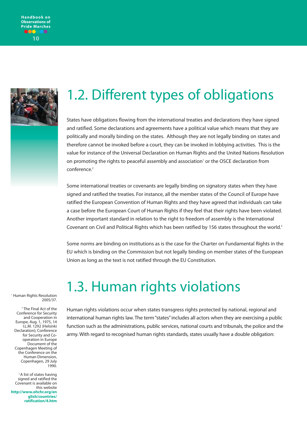



# 1.2. Different types of obligations

States have obligations flowing from the international treaties and declarations they have signed and ratified. Some declarations and agreements have a political value which means that they are politically and morally binding on the states. Although they are not legally binding on states and therefore cannot be invoked before a court, they can be invoked in lobbying activities. This is the value for instance of the Universal Declaration on Human Rights and the United Nations Resolution on promoting the rights to peaceful assembly and association<sup>1</sup> or the OSCE declaration from conference.<sup>2</sup>

Some international treaties or covenants are legally binding on signatory states when they have signed and ratified the treaties. For instance, all the member states of the Council of Europe have ratified the European Convention of Human Rights and they have agreed that individuals can take a case before the European Court of Human Rights if they feel that their rights have been violated. Another important standard in relation to the right to freedom of assembly is the International Covenant on Civil and Political Rights which has been ratified by 156 states throughout the world.<sup>3</sup>

Some norms are binding on institutions as is the case for the Charter on Fundamental Rights in the EU which is binding on the Commission but not legally binding on member states of the European Union as long as the text is not ratified through the EU Constitution.

# THuman Rights Resolution **1.3. Human rights violations**

2005/37.

<sup>2</sup> The Final Act of the Conference for Security and Cooperation in Europe, Aug. 1, 1975, 14 I.L.M. 1292 (Helsinki Declaration); Conference for Security and Cooperation in Europe Document of the Copenhagen Meeting of the Conference on the Human Dimension, Copenhagen, 29 July 1990.

<sup>3</sup> A list of states having signed and ratified the Covenant is available on this website **http://www.ohchr.org/en glish/countries/ ratification/4.htm**  Human rights violations occur when states transgress rights protected by national, regional and international human rights law. The term "states" includes all actors when they are exercising a public function such as the administrations, public services, national courts and tribunals, the police and the army. With regard to recognised human rights standards, states usually have a double obligation: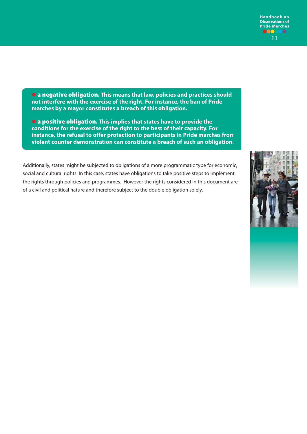**a negative obligation. This means that law, policies and practices should not interfere with the exercise of the right. For instance, the ban of Pride marches by a mayor constitutes a breach of this obligation.**

 **a positive obligation. This implies that states have to provide the conditions for the exercise of the right to the best of their capacity. For instance, the refusal to offer protection to participants in Pride marches from violent counter demonstration can constitute a breach of such an obligation.** 

social and cultural rights. In this case, states have obligations to take positive steps to implement the rights through policies and programmes. However the rights considered in this document are of a civil and political nature and therefore subject to the double obligation solely.



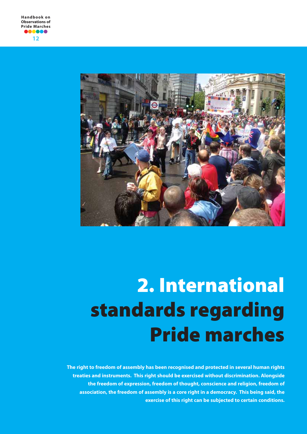

# **2. International standards regarding Pride marches**

**The right to freedom of assembly has been recognised and protected in several human rights treaties and instruments. This right should be exercised without discrimination. Alongside the freedom of expression, freedom of thought, conscience and religion, freedom of association, the freedom of assembly is a core right in a democracy. This being said, the exercise of this right can be subjected to certain conditions.**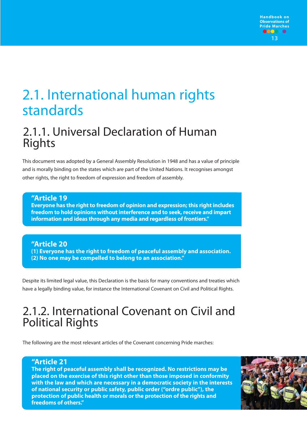

# 2.1. International human rights standards

# 2.1.1. Universal Declaration of Human Rights

This document was adopted by a General Assembly Resolution in 1948 and has a value of principle and is morally binding on the states which are part of the United Nations. It recognises amongst other rights, the right to freedom of expression and freedom of assembly.

#### **"Article 19 Everyone has the right to freedom of opinion and expression; this right includes freedom to hold opinions without interference and to seek, receive and impart information and ideas through any media and regardless of frontiers."**

### **"Article 20 (1) Everyone has the right to freedom of peaceful assembly and association. (2) No one may be compelled to belong to an association."**

Despite its limited legal value, this Declaration is the basis for many conventions and treaties which have a legally binding value, for instance the International Covenant on Civil and Political Rights.

# 2.1.2. International Covenant on Civil and Political Rights

The following are the most relevant articles of the Covenant concerning Pride marches:

### **"Article 21**

**The right of peaceful assembly shall be recognized. No restrictions may be placed on the exercise of this right other than those imposed in conformity with the law and which are necessary in a democratic society in the interests of national security or public safety, public order ("ordre public"), the protection of public health or morals or the protection of the rights and freedoms of others."**

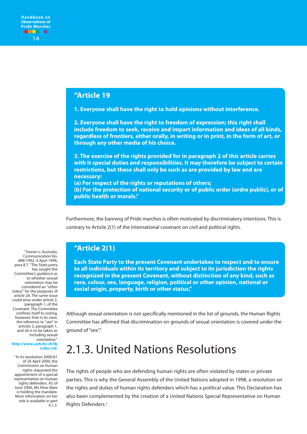#### **"Article 19**

**1. Everyone shall have the right to hold opinions without interference.** 

**2. Everyone shall have the right to freedom of expression; this right shall include freedom to seek, receive and impart information and ideas of all kinds, regardless of frontiers, either orally, in writing or in print, in the form of art, or through any other media of his choice.** 

**3. The exercise of the rights provided for in paragraph 2 of this article carries with it special duties and responsibilities. It may therefore be subject to certain restrictions, but these shall only be such as are provided by law and are necessary:** 

**(a) For respect of the rights or reputations of others; (b) For the protection of national security or of public order (ordre public), or of public health or morals."**

Furthermore, the banning of Pride marches is often motivated by discriminatory intentions. This is contrary to Article 2(1) of the International covenant on civil and political rights.

### **"Article 2(1)**

**Each State Party to the present Covenant undertakes to respect and to ensure to all individuals within its territory and subject to its jurisdiction the rights recognized in the present Covenant, without distinction of any kind, such as race, colour, sex, language, religion, political or other opinion, national or social origin, property, birth or other status."**

Although sexual orientation is not specifically mentioned in the list of grounds, the Human Rights Committee has affirmed that discrimination on grounds of sexual orientation is covered under the ground of "sex".4

# 2.1.3. United Nations Resolutions

The rights of people who are defending human rights are often violated by states or private parties. This is why the General Assembly of the United Nations adopted in 1998, a resolution on the rights and duties of human rights defenders which has a political value. This Declaration has also been complemented by the creation of a United Nations Special Representative on Human Rights Defenders.<sup>5</sup>

<sup>4</sup>Toonen v. Australia, Communication No. 488/1992, 4 April 1994, para 8.7. "The State party has sought the Committee's guidance as to whether sexual orientation may be considered an "other status" for the purposes of article 26. The same issue could arise under article 2, paragraph 1, of the Covenant. The Committee confines itself to noting, however, that in its view, the reference to "sex" in articles 2, paragraph 1, and 26 is to be taken as including sexual orientation."

#### **http://www.unhchr.ch/tb s/doc.nsf.**

<sup>5</sup> In its resolution 2000/61 of 26 April 2000, the Commission on human rights requested the appointment of a special representative on human rights defenders. AS of June 2006, Ms Hina Jilani is holding the mandate. More information on her role is available in part  $4.1.3$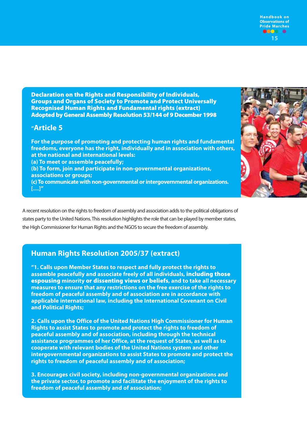**15 Handbook on Observations of Pride Marches**

**Declaration on the Rights and Responsibility of Individuals, Groups and Organs of Society to Promote and Protect Universally Recognised Human Rights and Fundamental rights (extract) Adopted by General Assembly Resolution 53/144 of 9 December 1998**

### **"Article 5**

**For the purpose of promoting and protecting human rights and fundamental freedoms, everyone has the right, individually and in association with others, at the national and international levels: (a) To meet or assemble peacefully; (b) To form, join and participate in non-governmental organizations, associations or groups; (c) To communicate with non-governmental or intergovernmental organizations. […]"**



A recent resolution on the rights to freedom of assembly and association adds to the political obligations of states party to the United Nations. This resolution highlights the role that can be played by member states, the High Commissioner for Human Rights and the NGOS to secure the freedom of assembly.

### **Human Rights Resolution 2005/37 (extract)**

**"1. Calls upon Member States to respect and fully protect the rights to assemble peacefully and associate freely of all individuals, including those espousing minority or dissenting views or beliefs, and to take all necessary measures to ensure that any restrictions on the free exercise of the rights to freedom of peaceful assembly and of association are in accordance with applicable international law, including the International Covenant on Civil and Political Rights;**

**2. Calls upon the Office of the United Nations High Commissioner for Human Rights to assist States to promote and protect the rights to freedom of peaceful assembly and of association, including through the technical assistance programmes of her Office, at the request of States, as well as to cooperate with relevant bodies of the United Nations system and other intergovernmental organizations to assist States to promote and protect the rights to freedom of peaceful assembly and of association;**

**3. Encourages civil society, including non-governmental organizations and the private sector, to promote and facilitate the enjoyment of the rights to freedom of peaceful assembly and of association;**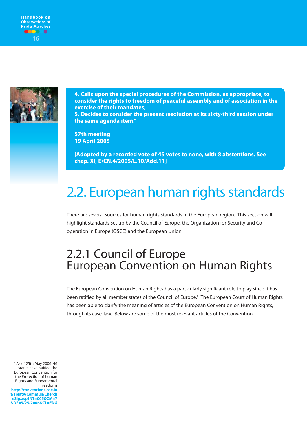



**4. Calls upon the special procedures of the Commission, as appropriate, to consider the rights to freedom of peaceful assembly and of association in the exercise of their mandates; 5. Decides to consider the present resolution at its sixty-third session under the same agenda item."**

**57th meeting 19 April 2005**

**[Adopted by a recorded vote of 45 votes to none, with 8 abstentions. See chap. XI, E/CN.4/2005/L.10/Add.11]**

# 2.2. European human rights standards

There are several sources for human rights standards in the European region. This section will highlight standards set up by the Council of Europe, the Organization for Security and Cooperation in Europe (OSCE) and the European Union.

# 2.2.1 Council of Europe European Convention on Human Rights

The European Convention on Human Rights has a particularly significant role to play since it has been ratified by all member states of the Council of Europe.<sup>6</sup> The European Court of Human Rights has been able to clarify the meaning of articles of the European Convention on Human Rights, through its case-law. Below are some of the most relevant articles of the Convention.

<sup>6</sup> As of 25th May 2006, 46 states have ratified the European Convention for the Protection of human Rights and Fundamental Freedoms **http://conventions.coe.in t/Treaty/Commun/Cherch eSig.asp?NT=005&CM=7 &DF=5/25/2006&CL=ENG**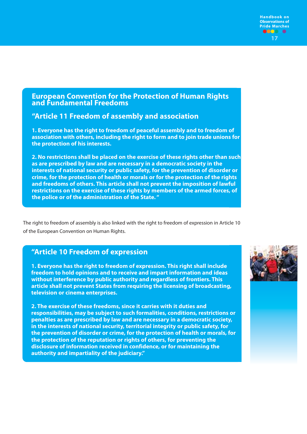

### **European Convention for the Protection of Human Rights and Fundamental Freedoms**

**"Article 11 Freedom of assembly and association**

**1. Everyone has the right to freedom of peaceful assembly and to freedom of association with others, including the right to form and to join trade unions for the protection of his interests.** 

**2. No restrictions shall be placed on the exercise of these rights other than such as are prescribed by law and are necessary in a democratic society in the interests of national security or public safety, for the prevention of disorder or crime, for the protection of health or morals or for the protection of the rights and freedoms of others. This article shall not prevent the imposition of lawful restrictions on the exercise of these rights by members of the armed forces, of the police or of the administration of the State. "**

The right to freedom of assembly is also linked with the right to freedom of expression in Article 10 of the European Convention on Human Rights.

### **"Article 10 Freedom of expression**

**1. Everyone has the right to freedom of expression. This right shall include freedom to hold opinions and to receive and impart information and ideas without interference by public authority and regardless of frontiers. This article shall not prevent States from requiring the licensing of broadcasting, television or cinema enterprises.**

**2. The exercise of these freedoms, since it carries with it duties and responsibilities, may be subject to such formalities, conditions, restrictions or penalties as are prescribed by law and are necessary in a democratic society, in the interests of national security, territorial integrity or public safety, for the prevention of disorder or crime, for the protection of health or morals, for the protection of the reputation or rights of others, for preventing the disclosure of information received in confidence, or for maintaining the authority and impartiality of the judiciary."**

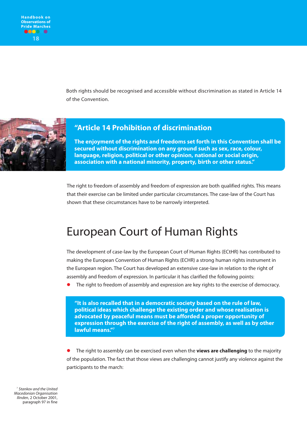Both rights should be recognised and accessible without discrimination as stated in Article 14 of the Convention.



### **"Article 14 Prohibition of discrimination**

**The enjoyment of the rights and freedoms set forth in this Convention shall be secured without discrimination on any ground such as sex, race, colour, language, religion, political or other opinion, national or social origin, association with a national minority, property, birth or other status."**

The right to freedom of assembly and freedom of expression are both qualified rights. This means that their exercise can be limited under particular circumstances. The case-law of the Court has shown that these circumstances have to be narrowly interpreted.

# European Court of Human Rights

The development of case-law by the European Court of Human Rights (ECtHR) has contributed to making the European Convention of Human Rights (ECHR) a strong human rights instrument in the European region. The Court has developed an extensive case-law in relation to the right of assembly and freedom of expression. In particular it has clarified the following points:

The right to freedom of assembly and expression are key rights to the exercise of democracy.

**"It is also recalled that in a democratic society based on the rule of law, political ideas which challenge the existing order and whose realisation is advocated by peaceful means must be afforded a proper opportunity of expression through the exercise of the right of assembly, as well as by other lawful means."7**

 The right to assembly can be exercised even when the **views are challenging** to the majority of the population. The fact that those views are challenging cannot justify any violence against the participants to the march:

<sup>7</sup> Stankov and the United Macedonian Organisation Ilinden, 2 October 2001, paragraph 97 in fine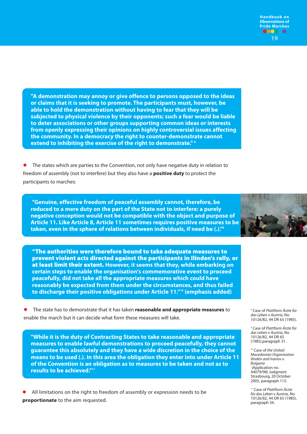**"A demonstration may annoy or give offence to persons opposed to the ideas or claims that it is seeking to promote. The participants must, however, be able to hold the demonstration without having to fear that they will be subjected to physical violence by their opponents; such a fear would be liable to deter associations or other groups supporting common ideas or interests from openly expressing their opinions on highly controversial issues affecting the community. In a democracy the right to counter-demonstrate cannot extend to inhibiting the exercise of the right to demonstrate." 8**

 The states which are parties to the Convention, not only have negative duty in relation to freedom of assembly (not to interfere) but they also have a **positive duty** to protect the participants to marches:

**"Genuine, effective freedom of peaceful assembly cannot, therefore, be reduced to a mere duty on the part of the State not to interfere: a purely negative conception would not be compatible with the object and purpose of Article 11. Like Article 8, Article 11 sometimes requires positive measures to be taken, even in the sphere of relations between individuals, if need be (.)."9**

**"The authorities were therefore bound to take adequate measures to prevent violent acts directed against the participants in Ilinden's rally, or at least limit their extent. However, it seems that they, while embarking on certain steps to enable the organisation's commemorative event to proceed peacefully, did not take all the appropriate measures which could have reasonably be expected from them under the circumstances, and thus failed to discharge their positive obligations under Article 11."10 (emphasis added)**

 The state has to demonstrate that it has taken **reasonable and appropriate measures** to enable the march but it can decide what form these measures will take.

**"While it is the duty of Contracting States to take reasonable and appropriate measures to enable lawful demonstrations to proceed peacefully, they cannot guarantee this absolutely and they have a wide discretion in the choice of the means to be used (.). In this area the obligation they enter into under Article 11 of the Convention is an obligation as to measures to be taken and not as to results to be achieved."11**

 All limitations on the right to freedom of assembly or expression needs to be **proportionate** to the aim requested.

<sup>8</sup> Case of Plattform Ärzte für das Leben v Austria, No 10126/82, 44 DR 65 (1985).

<sup>9</sup> Case of Plattform Ärzte für das Leben v Austria, No 10126/82, 44 DR 65 (1985).paragraph 31.

<sup>10</sup> Case of the United Macedonian Organisation Ilinden and Ivanov v. Bulgaria (Application no. 44079/98) Judgment Strasbourg, 20 October 2005, paragraph 115.

<sup>11</sup> Case of Plattform Ärzte für das Leben v Austria, No 10126/82, 44 DR 65 (1985), paragraph 34.

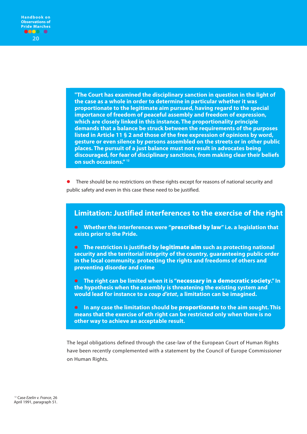**"The Court has examined the disciplinary sanction in question in the light of the case as a whole in order to determine in particular whether it was proportionate to the legitimate aim pursued, having regard to the special importance of freedom of peaceful assembly and freedom of expression, which are closely linked in this instance. The proportionality principle demands that a balance be struck between the requirements of the purposes listed in Article 11 § 2 and those of the free expression of opinions by word, gesture or even silence by persons assembled on the streets or in other public places. The pursuit of a just balance must not result in advocates being discouraged, for fear of disciplinary sanctions, from making clear their beliefs on such occasions." <sup>12</sup>**

 There should be no restrictions on these rights except for reasons of national security and public safety and even in this case these need to be justified.

### **Limitation: Justified interferences to the exercise of the right**

 **Whether the interferences were "prescribed by law" i.e. a legislation that exists prior to the Pride.** 

 **The restriction is justified by legitimate aim such as protecting national security and the territorial integrity of the country, guaranteeing public order in the local community, protecting the rights and freedoms of others and preventing disorder and crime**

 **The right can be limited when it is "necessary in a democratic society." In the hypothesis when the assembly is threatening the existing system and would lead for instance to a** *coup d'etat***, a limitation can be imagined.** 

 **In any case the limitation should be proportionate to the aim sought. This means that the exercise of eth right can be restricted only when there is no other way to achieve an acceptable result.**

The legal obligations defined through the case-law of the European Court of Human Rights have been recently complemented with a statement by the Council of Europe Commissioner on Human Rights.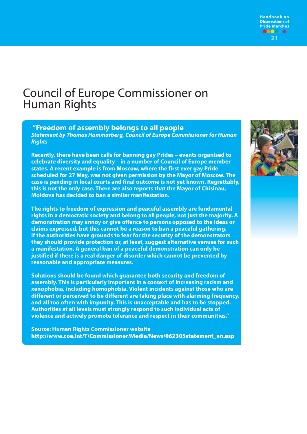

# Council of Europe Commissioner on Human Rights

**"Freedom of assembly belongs to all people**

*Statement by Thomas Hammarberg, Council of Europe Commissioner for Human Rights*

**Recently, there have been calls for banning gay Prides – events organised to celebrate diversity and equality – in a number of Council of Europe member states. A recent example is from Moscow, where the first ever gay Pride scheduled for 27 May, was not given permission by the Mayor of Moscow. The case is pending in local courts and final outcome is not yet known. Regrettably, this is not the only case. There are also reports that the Mayor of Chisinau, Moldova has decided to ban a similar manifestation.**

**The rights to freedom of expression and peaceful assembly are fundamental rights in a democratic society and belong to all people, not just the majority. A demonstration may annoy or give offence to persons opposed to the ideas or claims expressed, but this cannot be a reason to ban a peaceful gathering. If the authorities have grounds to fear for the security of the demonstrators they should provide protection or, at least, suggest alternative venues for such a manifestation. A general ban of a peaceful demonstration can only be justified if there is a real danger of disorder which cannot be prevented by reasonable and appropriate measures.**

**Solutions should be found which guarantee both security and freedom of assembly. This is particularly important in a context of increasing racism and xenophobia, including homophobia. Violent incidents against those who are different or perceived to be different are taking place with alarming frequency, and all too often with impunity. This is unacceptable and has to be stopped. Authorities at all levels must strongly respond to such individual acts of violence and actively promote tolerance and respect in their communities."**

**Source: Human Rights Commissioner website http://www.coe.int/T/Commissioner/Media/News/062305statement\_en.asp**

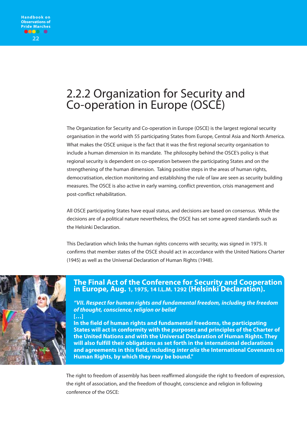# 2.2.2 Organization for Security and Co-operation in Europe (OSCE)

The Organization for Security and Co-operation in Europe (OSCE) is the largest regional security organisation in the world with 55 participating States from Europe, Central Asia and North America. What makes the OSCE unique is the fact that it was the first regional security organisation to include a human dimension in its mandate. The philosophy behind the OSCE's policy is that regional security is dependent on co-operation between the participating States and on the strengthening of the human dimension. Taking positive steps in the areas of human rights, democratisation, election monitoring and establishing the rule of law are seen as security building measures. The OSCE is also active in early warning, conflict prevention, crisis management and post-conflict rehabilitation.

All OSCE participating States have equal status, and decisions are based on consensus. While the decisions are of a political nature nevertheless, the OSCE has set some agreed standards such as the Helsinki Declaration.

This Declaration which links the human rights concerns with security, was signed in 1975. It confirms that member states of the OSCE should act in accordance with the United Nations Charter (1945) as well as the Universal Declaration of Human Rights (1948).



### **The Final Act of the Conference for Security and Cooperation in Europe, Aug. 1, 1975, 14 I.L.M. 1292 (Helsinki Declaration).**

*"VII. Respect for human rights and fundamental freedom, including the freedom of thought, conscience, religion or belief* **[…]**

**In the field of human rights and fundamental freedoms, the participating States will act in conformity with the purposes and principles of the Charter of the United Nations and with the Universal Declaration of Human Rights. They will also fulfill their obligations as set forth in the international declarations and agreements in this field, including** *inter alia* **the International Covenants on Human Rights, by which they may be bound."**

The right to freedom of assembly has been reaffirmed alongside the right to freedom of expression, the right of association, and the freedom of thought, conscience and religion in following conference of the OSCE: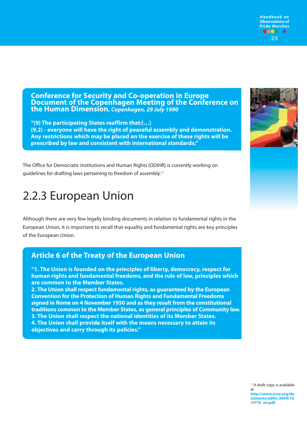**Conference for Security and Co-operation in Europe Document of the Copenhagen Meeting of the Conference on the Human Dimension,** *Copenhagen, 29 July 1990*

**"(9) The participating States reaffirm that:(…) (9.2) - everyone will have the right of peaceful assembly and demonstration. Any restrictions which may be placed on the exercise of these rights will be prescribed by law and consistent with international standards;"**

The Office for Democratic Institutions and Human Rights (ODIHR) is currently working on guidelines for drafting laws pertaining to freedom of assembly.13

# 2.2.3 European Union

Although there are very few legally binding documents in relation to fundamental rights in the European Union, it is important to recall that equality and fundamental rights are key principles of the European Union.

### **Article 6 of the Treaty of the European Union**

**"1. The Union is founded on the principles of liberty, democracy, respect for human rights and fundamental freedoms, and the rule of law, principles which are common to the Member States.**

**2. The Union shall respect fundamental rights, as guaranteed by the European Convention for the Protection of Human Rights and Fundamental Freedoms signed in Rome on 4 November 1950 and as they result from the constitutional traditions common to the Member States, as general principles of Community law. 3. The Union shall respect the national identities of its Member States. 4. The Union shall provide itself with the means necessary to attain its objectives and carry through its policies."**



**23**

**Handbook on Observations of Pride Marches**

<sup>13</sup> A draft copy is available at **http://www.osce.org/do cuments/odihr/2004/10 /3776\_en.pdf.**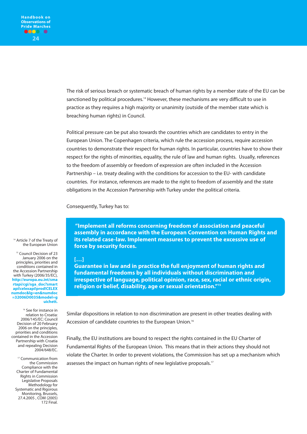The risk of serious breach or systematic breach of human rights by a member state of the EU can be sanctioned by political procedures.<sup>14</sup> However, these mechanisms are very difficult to use in practice as they requires a high majority or unanimity (outside of the member state which is breaching human rights) in Council.

Political pressure can be put also towards the countries which are candidates to entry in the European Union. The Copenhagen criteria, which rule the accession process, require accession countries to demonstrate their respect for human rights. In particular, countries have to show their respect for the rights of minorities, equality, the rule of law and human rights. Usually, references to the freedom of assembly or freedom of expression are often included in the Accession Partnership – i.e. treaty dealing with the conditions for accession to the EU- with candidate countries. For instance, references are made to the right to freedom of assembly and the state obligations in the Accession Partnership with Turkey under the political criteria.

Consequently, Turkey has to:

**"Implement all reforms concerning freedom of association and peaceful assembly in accordance with the European Convention on Human Rights and its related case-law. Implement measures to prevent the excessive use of force by security forces.**

#### **[…]**

**Guarantee in law and in practice the full enjoyment of human rights and fundamental freedoms by all individuals without discrimination and irrespective of language, political opinion, race, sex, racial or ethnic origin, religion or belief, disability, age or sexual orientation."15**

Similar dispositions in relation to non discrimination are present in other treaties dealing with Accession of candidate countries to the European Union.16

Finally, the EU institutions are bound to respect the rights contained in the EU Charter of Fundamental Rights of the European Union. This means that in their actions they should not violate the Charter. In order to prevent violations, the Commission has set up a mechanism which assesses the impact on human rights of new legislative proposals.<sup>17</sup>

<sup>14</sup> Article 7 of the Treaty of the European Union

<sup>15</sup> Council Decision of 23 January 2006 on the principles, priorities and conditions contained in the Accession Partnership with Turkey (2006/35/EC), **http://europa.eu.int/sma rtapi/cgi/sga\_doc?smart api!celexapi!prod!CELEX numdoc&lg=en&numdoc =32006D0035&model=g uichett.**

<sup>16</sup> See for instance in relation to Croatia: 2006/145/EC: Council Decision of 20 February 2006 on the principles, priorities and conditions contained in the Accession Partnership with Croatia and repealing Decision 2004/648/EC.

<sup>17</sup> Communication from the Commission Compliance with the Charter of Fundamental Rights in Commission Legislative Proposals Methodology for Systematic and Rigorous Monitoring, Brussels, 27.4.2005 , COM (2005) 172 Final.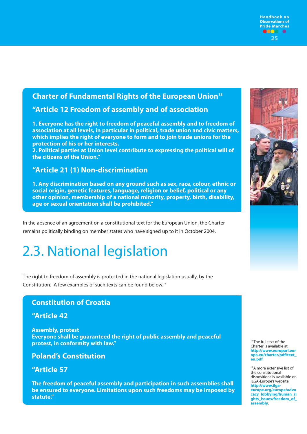### **Charter of Fundamental Rights of the European Union18**

### **"Article 12 Freedom of assembly and of association**

**1. Everyone has the right to freedom of peaceful assembly and to freedom of association at all levels, in particular in political, trade union and civic matters, which implies the right of everyone to form and to join trade unions for the protection of his or her interests.**

**2. Political parties at Union level contribute to expressing the political will of the citizens of the Union."**

### **"Article 21 (1) Non-discrimination**

**1. Any discrimination based on any ground such as sex, race, colour, ethnic or social origin, genetic features, language, religion or belief, political or any other opinion, membership of a national minority, property, birth, disability, age or sexual orientation shall be prohibited."**

In the absence of an agreement on a constitutional text for the European Union, the Charter remains politically binding on member states who have signed up to it in October 2004.

# 2.3. National legislation

The right to freedom of assembly is protected in the national legislation usually, by the Constitution. A few examples of such texts can be found below.19

### **Constitution of Croatia**

#### **"Article 42**

**Assembly, protest Everyone shall be guaranteed the right of public assembly and peaceful protest, in conformity with law."**

### **Poland's Constitution**

### **"Article 57**

**The freedom of peaceful assembly and participation in such assemblies shall be ensured to everyone. Limitations upon such freedoms may be imposed by statute."**



**25**

**Handbook on Observations of Pride Marches**



<sup>18</sup> The full text of the Charter is available at **http://www.europarl.eur opa.eu/charter/pdf/text\_ en.pdf**

19 A more extensive list of the constitutional dispositions is available on ILGA-Europe's website **http://www.ilgaeurope.org/europe/advo cacy\_lobbying/human\_ri ghts\_issues/freedom\_of\_ assembly**.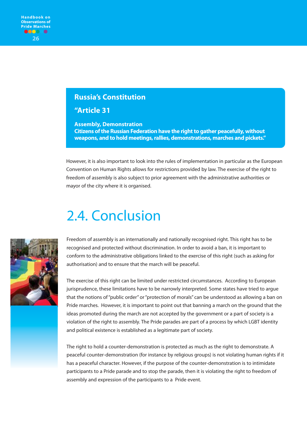### **Russia's Constitution**

**"Article 31** 

**Assembly, Demonstration Citizens of the Russian Federation have the right to gather peacefully, without weapons, and to hold meetings, rallies, demonstrations, marches and pickets."**

However, it is also important to look into the rules of implementation in particular as the European Convention on Human Rights allows for restrictions provided by law. The exercise of the right to freedom of assembly is also subject to prior agreement with the administrative authorities or mayor of the city where it is organised.

# 2.4. Conclusion



Freedom of assembly is an internationally and nationally recognised right. This right has to be recognised and protected without discrimination. In order to avoid a ban, it is important to conform to the administrative obligations linked to the exercise of this right (such as asking for authorisation) and to ensure that the march will be peaceful.

The exercise of this right can be limited under restricted circumstances. According to European jurisprudence, these limitations have to be narrowly interpreted. Some states have tried to argue that the notions of "public order" or "protection of morals" can be understood as allowing a ban on Pride marches. However, it is important to point out that banning a march on the ground that the ideas promoted during the march are not accepted by the government or a part of society is a violation of the right to assembly. The Pride parades are part of a process by which LGBT identity and political existence is established as a legitimate part of society.

The right to hold a counter-demonstration is protected as much as the right to demonstrate. A peaceful counter-demonstration (for instance by religious groups) is not violating human rights if it has a peaceful character. However, if the purpose of the counter-demonstration is to intimidate participants to a Pride parade and to stop the parade, then it is violating the right to freedom of assembly and expression of the participants to a Pride event.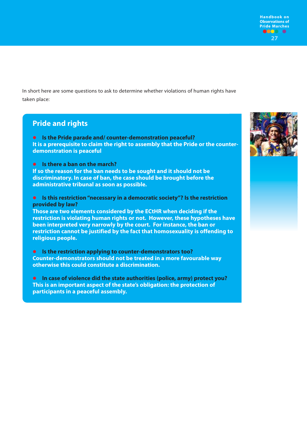**27 Handbook on Observations of Pride Marches**

In short here are some questions to ask to determine whether violations of human rights have taken place:

### **Pride and rights**

 **Is the Pride parade and/ counter-demonstration peaceful? It is a prerequisite to claim the right to assembly that the Pride or the counterdemonstration is peaceful**

**Is there a ban on the march?** 

**If so the reason for the ban needs to be sought and it should not be discriminatory. In case of ban, the case should be brought before the administrative tribunal as soon as possible.** 

 **Is this restriction "necessary in a democratic society"? Is the restriction provided by law?**

**Those are two elements considered by the ECtHR when deciding if the restriction is violating human rights or not. However, these hypotheses have been interpreted very narrowly by the court. For instance, the ban or restriction cannot be justified by the fact that homosexuality is offending to religious people.**

 **Is the restriction applying to counter-demonstrators too? Counter-demonstrators should not be treated in a more favourable way otherwise this could constitute a discrimination.** 

 **In case of violence did the state authorities (police, army) protect you? This is an important aspect of the state's obligation: the protection of participants in a peaceful assembly.**

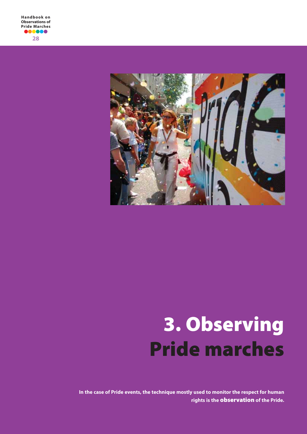

# **3. Observing Pride marches**

**In the case of Pride events, the technique mostly used to monitor the respect for human rights is the observation of the Pride.**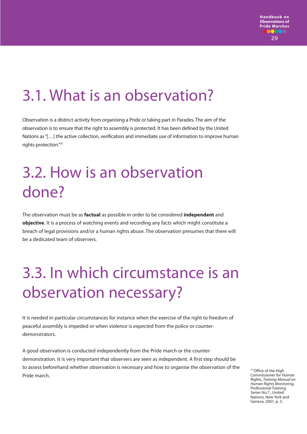# 3.1. What is an observation?

Observation is a distinct activity from organising a Pride or taking part in Parades. The aim of the observation is to ensure that the right to assembly is protected. It has been defined by the United Nations as "[…] the active collection, verification and immediate use of information to improve human rights protection."20

# 3.2. How is an observation done?

The observation must be as **factual** as possible in order to be considered **independent** and **objective**. It is a process of watching events and recording any facts which might constitute a breach of legal provisions and/or a human rights abuse. The observation presumes that there will be a dedicated team of observers.

# 3.3. In which circumstance is an observation necessary?

It is needed in particular circumstances for instance when the exercise of the right to freedom of peaceful assembly is impeded or when violence is expected from the police or counterdemonstrators.

A good observation is conducted independently from the Pride march or the counterdemonstration. It is very important that observers are seen as independent. A first step should be to assess beforehand whether observation is necessary and how to organise the observation of the Pride march.

<sup>20</sup> Office of the High Commissioner for Human Rights, Training Manual on Human Rights Monitoring, Professional Training Series No.7., United Nations, New York and Geneva, 2001, p. 3.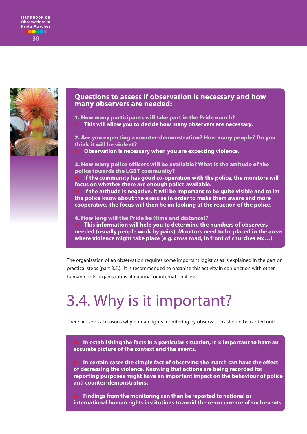



#### **Questions to assess if observation is necessary and how many observers are needed:**

**1. How many participants will take part in the Pride march? This will allow you to decide how many observers are necessary.**

**2. Are you expecting a counter-demonstration? How many people? Do you think it will be violent?**

**Observation is necessary when you are expecting violence.**

**3. How many police officers will be available? What is the attitude of the police towards the LGBT community?** 

 **If the community has good co-operation with the police, the monitors will focus on whether there are enough police available.** 

 **If the attitude is negative, it will be important to be quite visible and to let the police know about the exercise in order to make them aware and more cooperative. The focus will then be on looking at the reaction of the police.**

**4. How long will the Pride be (time and distance)?**

 **This information will help you to determine the numbers of observers needed (usually people work by pairs). Monitors need to be placed in the areas where violence might take place (e.g. cross road, in front of churches etc…)**

The organisation of an observation requires some important logistics as is explained in the part on practical steps (part 3.5.). It is recommended to organise this activity in conjunction with other human rights organisations at national or international level.

# 3.4. Why is it important?

There are several reasons why human rights monitoring by observations should be carried out:

 **In establishing the facts in a particular situation, it is important to have an accurate picture of the context and the events.** 

 **In certain cases the simple fact of observing the march can have the effect of decreasing the violence. Knowing that actions are being recorded for reporting purposes might have an important impact on the behaviour of police and counter-demonstrators.**

 **Findings from the monitoring can then be reported to national or international human rights institutions to avoid the re-occurrence of such events.**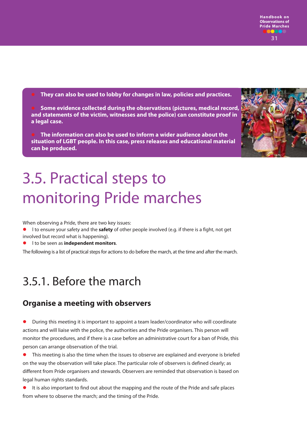**They can also be used to lobby for changes in law, policies and practices.** 

 **Some evidence collected during the observations (pictures, medical record, and statements of the victim, witnesses and the police) can constitute proof in a legal case.**

 **The information can also be used to inform a wider audience about the situation of LGBT people. In this case, press releases and educational material can be produced.**



# 3.5. Practical steps to monitoring Pride marches

When observing a Pride, there are two key issues:

- l to ensure your safety and the **safety** of other people involved (e.g. if there is a fight, not get involved but record what is happening).
- l to be seen as **independent monitors**.

The following is a list of practical steps for actions to do before the march, at the time and after the march.

# 3.5.1. Before the march

### **Organise a meeting with observers**

 During this meeting it is important to appoint a team leader/coordinator who will coordinate actions and will liaise with the police, the authorities and the Pride organisers. This person will monitor the procedures, and if there is a case before an administrative court for a ban of Pride, this person can arrange observation of the trial.

 This meeting is also the time when the issues to observe are explained and everyone is briefed on the way the observation will take place. The particular role of observers is defined clearly; as different from Pride organisers and stewards. Observers are reminded that observation is based on legal human rights standards.

 It is also important to find out about the mapping and the route of the Pride and safe places from where to observe the march; and the timing of the Pride.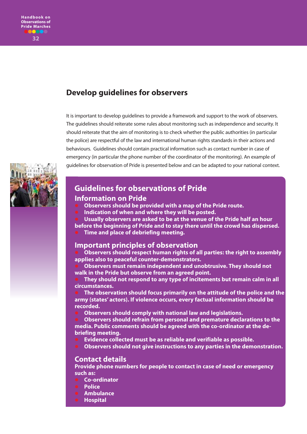## **Develop guidelines for observers**

It is important to develop guidelines to provide a framework and support to the work of observers. The guidelines should reiterate some rules about monitoring such as independence and security. It should reiterate that the aim of monitoring is to check whether the public authorities (in particular the police) are respectful of the law and international human rights standards in their actions and behaviours. Guidelines should contain practical information such as contact number in case of emergency (in particular the phone number of the coordinator of the monitoring). An example of guidelines for observation of Pride is presented below and can be adapted to your national context.



### **Guidelines for observations of Pride**

#### **Information on Pride**

- **Observers should be provided with a map of the Pride route.**
- **Indication of when and where they will be posted.**
- **Usually observers are asked to be at the venue of the Pride half an hour**
- **before the beginning of Pride and to stay there until the crowd has dispersed. Time and place of debriefing meeting.**

### **Important principles of observation**

 **Observers should respect human rights of all parties: the right to assembly applies also to peaceful counter-demonstrators.**

 **Observers must remain independent and unobtrusive. They should not walk in the Pride but observe from an agreed point.**

 **They should not respond to any type of incitements but remain calm in all circumstances.**

 **The observation should focus primarily on the attitude of the police and the army (states' actors). If violence occurs, every factual information should be recorded.**

**Observers should comply with national law and legislations.**

 **Observers should refrain from personal and premature declarations to the media. Public comments should be agreed with the co-ordinator at the debriefing meeting.**

- **Evidence collected must be as reliable and verifiable as possible.**
- **Observers should not give instructions to any parties in the demonstration.**

### **Contact details**

**Provide phone numbers for people to contact in case of need or emergency such as:**

- **Co-ordinator**
- **Police**
- **Ambulance**
- **Hospital**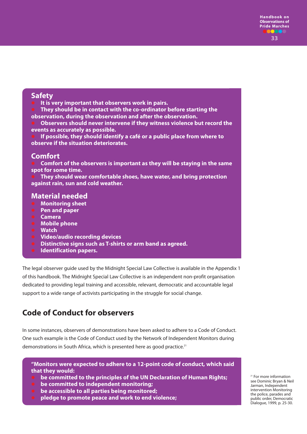### **Safety**

- **It is very important that observers work in pairs.**
- **They should be in contact with the co-ordinator before starting the observation, during the observation and after the observation.**

 **Observers should never intervene if they witness violence but record the events as accurately as possible.**

 **If possible, they should identify a café or a public place from where to observe if the situation deteriorates.**

#### **Comfort**

 **Comfort of the observers is important as they will be staying in the same spot for some time.** 

 **They should wear comfortable shoes, have water, and bring protection against rain, sun and cold weather.** 

### **Material needed**

- **Monitoring sheet**
- **Pen and paper**
- **Camera**
- **Mobile phone**
- **Watch**
- **Video/audio recording devices**
- **Distinctive signs such as T-shirts or arm band as agreed.**
- **Identification papers.**

The legal observer guide used by the Midnight Special Law Collective is available in the Appendix 1 of this handbook. The Midnight Special Law Collective is an independent non-profit organisation dedicated to providing legal training and accessible, relevant, democratic and accountable legal support to a wide range of activists participating in the struggle for social change.

## **Code of Conduct for observers**

In some instances, observers of demonstrations have been asked to adhere to a Code of Conduct. One such example is the Code of Conduct used by the Network of Independent Monitors during demonstrations in South Africa, which is presented here as good practice.<sup>21</sup>

**"Monitors were expected to adhere to a 12-point code of conduct, which said that they would:**

- **be committed to the principles of the UN Declaration of Human Rights;**
- **be committed to independent monitoring;**
- **be accessible to all parties being monitored;**
- **pledge to promote peace and work to end violence;**

<sup>21</sup> For more information see Dominic Bryan & Neil Jarman, Independent intervention Monitoring the police, parades and public order, Democratic Dialogue, 1999, p. 25-30.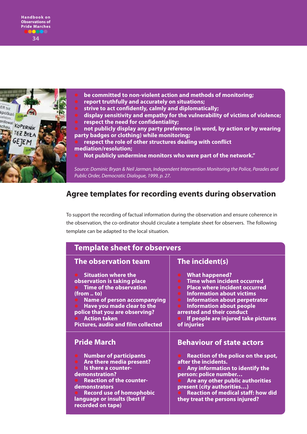

**be committed to non-violent action and methods of monitoring;**

- **report truthfully and accurately on situations;**
- **strive to act confidently, calmly and diplomatically;**
- **display sensitivity and empathy for the vulnerability of victims of violence; respect the need for confidentiality;**

 **not publicly display any party preference (in word, by action or by wearing party badges or clothing) while monitoring;**

 **respect the role of other structures dealing with conflict mediation/resolution;**

**Not publicly undermine monitors who were part of the network."**

Source: Dominic Bryan & Neil Jarman, Independent Intervention Monitoring the Police, Parades and Public Order, Democratic Dialogue, 1999, p. 27.

## **Agree templates for recording events during observation**

To support the recording of factual information during the observation and ensure coherence in the observation, the co-ordinator should circulate a template sheet for observers. The following template can be adapted to the local situation.

| <b>Template sheet for observers</b>                                                                                                                                                                                                                                                 |                                                                                                                                                                                                                                                                                                                                  |  |  |  |
|-------------------------------------------------------------------------------------------------------------------------------------------------------------------------------------------------------------------------------------------------------------------------------------|----------------------------------------------------------------------------------------------------------------------------------------------------------------------------------------------------------------------------------------------------------------------------------------------------------------------------------|--|--|--|
| The observation team                                                                                                                                                                                                                                                                | The incident(s)                                                                                                                                                                                                                                                                                                                  |  |  |  |
| <b>Situation where the</b><br>observation is taking place<br><b>Time of the observation</b><br>(from  to)<br><b>Name of person accompanying</b><br>Have you made clear to the<br>police that you are observing?<br><b>Action taken</b><br><b>Pictures, audio and film collected</b> | <b>What happened?</b><br><b>Time when incident occurred</b><br><b>Place where incident occurred</b><br><b>Information about victims</b><br><b>Information about perpetrator</b><br>$\bullet$<br><b>Information about people</b><br>$\bullet$<br>arrested and their conduct<br>If people are injured take pictures<br>of injuries |  |  |  |
| <b>Pride March</b>                                                                                                                                                                                                                                                                  | <b>Behaviour of state actors</b>                                                                                                                                                                                                                                                                                                 |  |  |  |
| <b>Number of participants</b><br>Are there media present?<br>Is there a counter-<br>demonstration?<br><b>Reaction of the counter-</b><br>demonstrators<br><b>Record use of homophobic</b><br>language or insults (best if<br>recorded on tape)                                      | Reaction of the police on the spot,<br>after the incidents.<br>Any information to identify the<br>person: police number<br>Are any other public authorities<br>present (city authorities)<br><b>Reaction of medical staff: how did</b><br>they treat the persons injured?                                                        |  |  |  |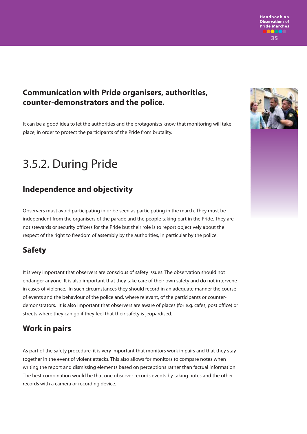

## **Communication with Pride organisers, authorities, counter-demonstrators and the police.**

It can be a good idea to let the authorities and the protagonists know that monitoring will take place, in order to protect the participants of the Pride from brutality.

# 3.5.2. During Pride

# **Independence and objectivity**

Observers must avoid participating in or be seen as participating in the march. They must be independent from the organisers of the parade and the people taking part in the Pride. They are not stewards or security officers for the Pride but their role is to report objectively about the respect of the right to freedom of assembly by the authorities, in particular by the police.

## **Safety**

It is very important that observers are conscious of safety issues. The observation should not endanger anyone. It is also important that they take care of their own safety and do not intervene in cases of violence. In such circumstances they should record in an adequate manner the course of events and the behaviour of the police and, where relevant, of the participants or counterdemonstrators. It is also important that observers are aware of places (for e.g. cafes, post office) or streets where they can go if they feel that their safety is jeopardised.

## **Work in pairs**

As part of the safety procedure, it is very important that monitors work in pairs and that they stay together in the event of violent attacks. This also allows for monitors to compare notes when writing the report and dismissing elements based on perceptions rather than factual information. The best combination would be that one observer records events by taking notes and the other records with a camera or recording device.

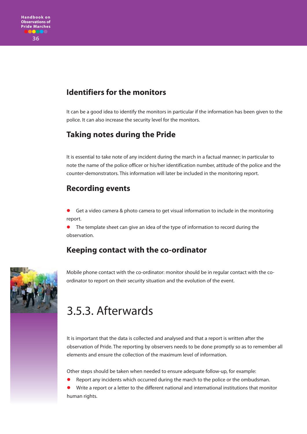## **Identifiers for the monitors**

It can be a good idea to identify the monitors in particular if the information has been given to the police. It can also increase the security level for the monitors.

# **Taking notes during the Pride**

It is essential to take note of any incident during the march in a factual manner; in particular to note the name of the police officer or his/her identification number, attitude of the police and the counter-demonstrators. This information will later be included in the monitoring report.

### **Recording events**

 Get a video camera & photo camera to get visual information to include in the monitoring report.

**•** The template sheet can give an idea of the type of information to record during the observation.

## **Keeping contact with the co-ordinator**



Mobile phone contact with the co-ordinator: monitor should be in regular contact with the coordinator to report on their security situation and the evolution of the event.

# 3.5.3. Afterwards

It is important that the data is collected and analysed and that a report is written after the observation of Pride. The reporting by observers needs to be done promptly so as to remember all elements and ensure the collection of the maximum level of information.

Other steps should be taken when needed to ensure adequate follow-up, for example:

Report any incidents which occurred during the march to the police or the ombudsman.

 Write a report or a letter to the different national and international institutions that monitor human rights.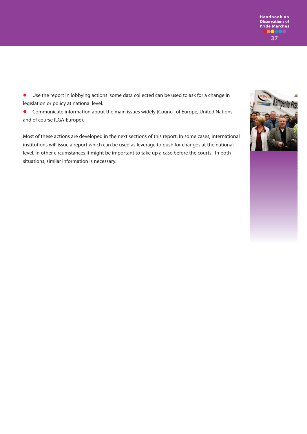

 Use the report in lobbying actions: some data collected can be used to ask for a change in legislation or policy at national level.

 Communicate information about the main issues widely (Council of Europe, United Nations and of course ILGA-Europe).

Most of these actions are developed in the next sections of this report. In some cases, international institutions will issue a report which can be used as leverage to push for changes at the national level. In other circumstances it might be important to take up a case before the courts. In both situations, similar information is necessary.

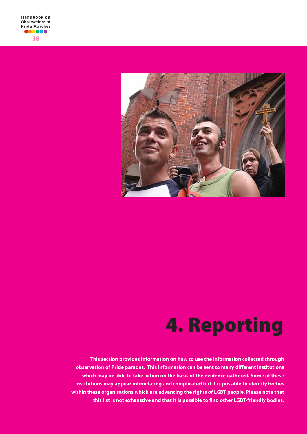

# **4. Reporting**

**This section provides information on how to use the information collected through observation of Pride parades. This information can be sent to many different institutions which may be able to take action on the basis of the evidence gathered. Some of these institutions may appear intimidating and complicated but it is possible to identify bodies within these organisations which are advancing the rights of LGBT people. Please note that this list is not exhaustive and that it is possible to find other LGBT-friendly bodies.**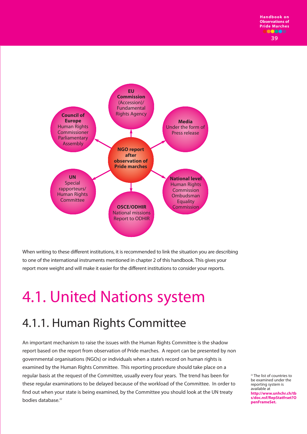

When writing to these different institutions, it is recommended to link the situation you are describing to one of the international instruments mentioned in chapter 2 of this handbook. This gives your report more weight and will make it easier for the different institutions to consider your reports.

# 4.1. United Nations system

# 4.1.1. Human Rights Committee

An important mechanism to raise the issues with the Human Rights Committee is the shadow report based on the report from observation of Pride marches. A report can be presented by non governmental organisations (NGOs) or individuals when a state's record on human rights is examined by the Human Rights Committee. This reporting procedure should take place on a regular basis at the request of the Committee, usually every four years. The trend has been for these regular examinations to be delayed because of the workload of the Committee. In order to find out when your state is being examined, by the Committee you should look at the UN treaty bodies database.22

<sup>22</sup> The list of countries to be examined under the reporting system is available at **http://www.unhchr.ch/tb s/doc.nsf/RepStatfrset?O penFrameSet.**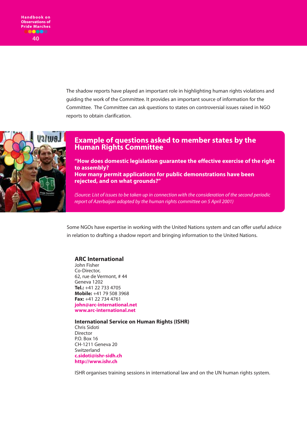The shadow reports have played an important role in highlighting human rights violations and guiding the work of the Committee. It provides an important source of information for the Committee. The Committee can ask questions to states on controversial issues raised in NGO reports to obtain clarification.



### **Example of questions asked to member states by the Human Rights Committee**

**"How does domestic legislation guarantee the effective exercise of the right to assembly? How many permit applications for public demonstrations have been rejected, and on what grounds?"**

(Source: List of issues to be taken up in connection with the consideration of the second periodic report of Azerbaijan adopted by the human rights committee on 5 April 2001)

Some NGOs have expertise in working with the United Nations system and can offer useful advice in relation to drafting a shadow report and bringing information to the United Nations.

#### **ARC International**

John Fisher Co-Director, 62, rue de Vermont, # 44 Geneva 1202 **Tel.:** +41 22 733 4705 **Mobile:** +41 79 508 3968 **Fax:** +41 22 734 4761 **john@arc-international.net www.arc-international.net**

**International Service on Human Rights (ISHR)** Chris Sidoti Director P.O. Box 16 CH-1211 Geneva 20 Switzerland **c.sidoti@ishr-sidh.ch http://www.ishr.ch** 

ISHR organises training sessions in international law and on the UN human rights system.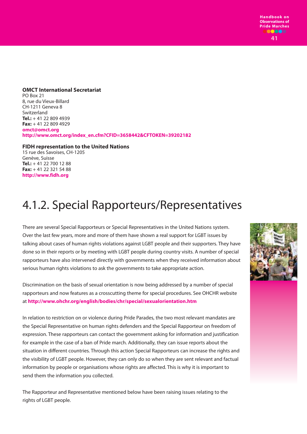**41**

**OMCT International Secretariat** PO Box 21 8, rue du Vieux-Billard CH-1211 Geneva 8 Switzerland **Tel.:** + 41 22 809 4939 **Fax:** + 41 22 809 4929 **omct@omct.org http://www.omct.org/index\_en.cfm?CFID=3658442&CFTOKEN=39202182**

#### **FIDH representation to the United Nations**

15 rue des Savoises, CH-1205 Genève, Suisse **Tel.:** + 41 22 700 12 88 **Fax:** + 41 22 321 54 88 **http://www.fidh.org**

# 4.1.2. Special Rapporteurs/Representatives

There are several Special Rapporteurs or Special Representatives in the United Nations system. Over the last few years, more and more of them have shown a real support for LGBT issues by talking about cases of human rights violations against LGBT people and their supporters. They have done so in their reports or by meeting with LGBT people during country visits. A number of special rapporteurs have also intervened directly with governments when they received information about serious human rights violations to ask the governments to take appropriate action.

Discrimination on the basis of sexual orientation is now being addressed by a number of special rapporteurs and now features as a crosscutting theme for special procedures. See OHCHR website at **http://www.ohchr.org/english/bodies/chr/special/sexualorientation.htm**

In relation to restriction on or violence during Pride Parades, the two most relevant mandates are the Special Representative on human rights defenders and the Special Rapporteur on freedom of expression. These rapporteurs can contact the government asking for information and justification for example in the case of a ban of Pride march. Additionally, they can issue reports about the situation in different countries. Through this action Special Rapporteurs can increase the rights and the visibility of LGBT people. However, they can only do so when they are sent relevant and factual information by people or organisations whose rights are affected. This is why it is important to send them the information you collected.

The Rapporteur and Representative mentioned below have been raising issues relating to the rights of LGBT people.

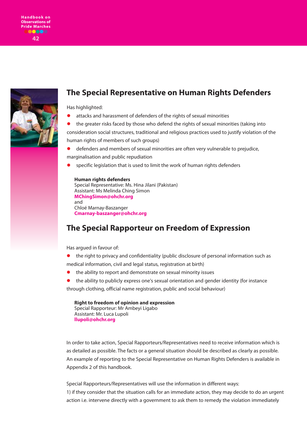

### **The Special Representative on Human Rights Defenders**

Has highlighted:

- attacks and harassment of defenders of the rights of sexual minorities
- the greater risks faced by those who defend the rights of sexual minorities (taking into consideration social structures, traditional and religious practices used to justify violation of the human rights of members of such groups)
- defenders and members of sexual minorities are often very vulnerable to prejudice, marginalisation and public repudiation
- specific legislation that is used to limit the work of human rights defenders

#### **Human rights defenders**

```
Special Representative: Ms. Hina Jilani (Pakistan)
Assistant: Ms Melinda Ching Simon 
MChingSimon@ohchr.org
and 
Chloé Marnay-Baszanger
Cmarnay-baszanger@ohchr.org
```
## **The Special Rapporteur on Freedom of Expression**

Has argued in favour of:

- the right to privacy and confidentiality (public disclosure of personal information such as medical information, civil and legal status, registration at birth)
- the ability to report and demonstrate on sexual minority issues
- the ability to publicly express one's sexual orientation and gender identity (for instance through clothing, official name registration, public and social behaviour)

**Right to freedom of opinion and expression** Special Rapporteur: Mr Ambeyi Ligabo Assistant: Mr. Luca Lupoli **llupoli@ohchr.org**

In order to take action, Special Rapporteurs/Representatives need to receive information which is as detailed as possible. The facts or a general situation should be described as clearly as possible. An example of reporting to the Special Representative on Human Rights Defenders is available in Appendix 2 of this handbook.

Special Rapporteurs/Representatives will use the information in different ways: 1) if they consider that the situation calls for an immediate action, they may decide to do an urgent action i.e. intervene directly with a government to ask them to remedy the violation immediately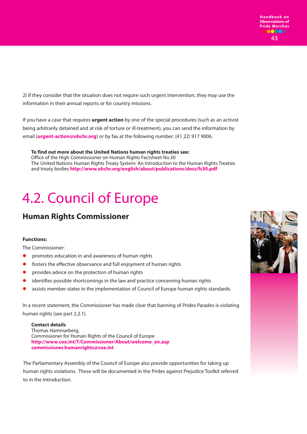2) if they consider that the situation does not require such urgent intervention, they may use the information in their annual reports or for country missions.

If you have a case that requires **urgent action** by one of the special procedures (such as an activist being arbitrarily detained and at risk of torture or ill-treatment), you can send the information by email (**urgent-action@ohchr.org**) or by fax at the following number: (41 22) 917 9006.

**To find out more about the United Nations human rights treaties see:** Office of the High Commissioner on Human Rights Factsheet No.30 The United Nations Human Rights Treaty System: An Introduction to the Human Rights Treaties and treaty bodies **http://www.ohchr.org/english/about/publications/docs/fs30.pdf** 

# 4.2. Council of Europe

# **Human Rights Commissioner**

#### **Functions:**

The Commissioner:

- promotes education in and awareness of human rights
- **•** fosters the effective observance and full enjoyment of human rights
- provides advice on the protection of human rights
- identifies possible shortcomings in the law and practice concerning human rights
- assists member states in the implementation of Council of Europe human rights standards.

In a recent statement, the Commissioner has made clear that banning of Prides Parades is violating human rights (see part 2.2.1).

**Contact details** Thomas Hammarberg, Commissioner for Human Rights of the Council of Europe **http://www.coe.int/T/Commissioner/About/welcome\_en.asp commissioner.humanrights@coe.int**

The Parliamentary Assembly of the Council of Europe also provide opportunities for taking up human rights violations. These will be documented in the Prides against Prejudice Toolkit referred to in the Introduction.

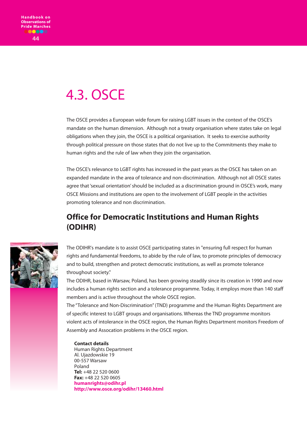# 4.3. OSCE

The OSCE provides a European wide forum for raising LGBT issues in the context of the OSCE's mandate on the human dimension. Although not a treaty organisation where states take on legal obligations when they join, the OSCE is a political organisation. It seeks to exercise authority through political pressure on those states that do not live up to the Commitments they make to human rights and the rule of law when they join the organisation.

The OSCE's relevance to LGBT rights has increased in the past years as the OSCE has taken on an expanded mandate in the area of tolerance and non-discrimination. Although not all OSCE states agree that 'sexual orientation' should be included as a discrimination ground in OSCE's work, many OSCE Missions and institutions are open to the involvement of LGBT people in the activities promoting tolerance and non discrimination.

# **Office for Democratic Institutions and Human Rights (ODIHR)**



The ODIHR's mandate is to assist OSCE participating states in "ensuring full respect for human rights and fundamental freedoms, to abide by the rule of law, to promote principles of democracy and to build, strengthen and protect democratic institutions, as well as promote tolerance throughout society."

The ODIHR, based in Warsaw, Poland, has been growing steadily since its creation in 1990 and now includes a human rights section and a tolerance programme. Today, it employs more than 140 staff members and is active throughout the whole OSCE region.

The "Tolerance and Non-Discrimination" (TND) programme and the Human Rights Department are of specific interest to LGBT groups and organisations. Whereas the TND programme monitors violent acts of intolerance in the OSCE region, the Human Rights Department monitors Freedom of Assembly and Assocation problems in the OSCE region.

#### **Contact details**

Human Rights Department Al. Ujazdowskie 19 00-557 Warsaw Poland **Tel:** +48 22 520 0600 **Fax:** +48 22 520 0605 **humanrights@odihr.pl http://www.osce.org/odihr/13460.html**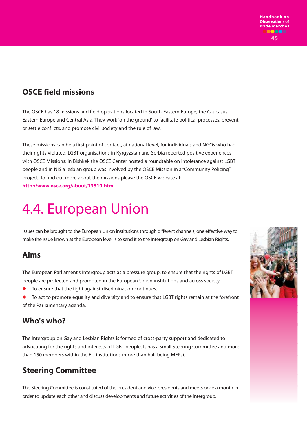## **OSCE field missions**

The OSCE has 18 missions and field operations located in South-Eastern Europe, the Caucasus, Eastern Europe and Central Asia. They work 'on the ground' to facilitate political processes, prevent or settle conflicts, and promote civil society and the rule of law.

These missions can be a first point of contact, at national level, for individuals and NGOs who had their rights violated. LGBT organisations in Kyrgyzstan and Serbia reported positive experiences with OSCE Missions: in Bishkek the OSCE Center hosted a roundtable on intolerance against LGBT people and in NIS a lesbian group was involved by the OSCE Mission in a "Community Policing" project. To find out more about the missions please the OSCE website at: **http://www.osce.org/about/13510.html**

# 4.4. European Union

Issues can be brought to the European Union institutions through different channels; one effective way to make the issue known at the European level is to send it to the Intergroup on Gay and Lesbian Rights.

### **Aims**

The European Parliament's Intergroup acts as a pressure group: to ensure that the rights of LGBT people are protected and promoted in the European Union institutions and across society.

- To ensure that the fight against discrimination continues.
- To act to promote equality and diversity and to ensure that LGBT rights remain at the forefront of the Parliamentary agenda.

## **Who's who?**

The Intergroup on Gay and Lesbian Rights is formed of cross-party support and dedicated to advocating for the rights and interests of LGBT people. It has a small Steering Committee and more than 150 members within the EU institutions (more than half being MEPs).

# **Steering Committee**

The Steering Committee is constituted of the president and vice-presidents and meets once a month in order to update each other and discuss developments and future activities of the Intergroup.

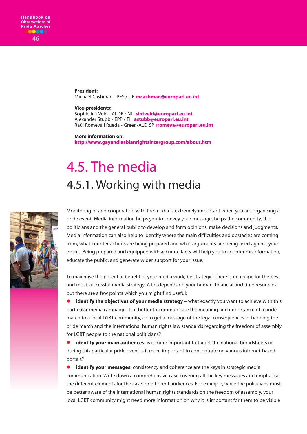**President:** Michael Cashman - PES / UK **mcashman@europarl.eu.int**

#### **Vice-presidents:**

Sophie in't Veld - ALDE / NL **sintveld@europarl.eu.int** Alexander Stubb - EPP / FI **astubb@europarl.eu.int** Raül Romeva i Rueda - Green/ALE SP **rromeva@europarl.eu.int**

**More information on: http://www.gayandlesbianrightsintergroup.com/about.htm**

# 4.5. The media 4.5.1. Working with media



Monitoring of and cooperation with the media is extremely important when you are organising a pride event. Media information helps you to convey your message, helps the community, the politicians and the general public to develop and form opinions, make decisions and judgments. Media information can also help to identify where the main difficulties and obstacles are coming from, what counter actions are being prepared and what arguments are being used against your event. Being prepared and equipped with accurate facts will help you to counter misinformation, educate the public, and generate wider support for your issue.

To maximise the potential benefit of your media work, be strategic! There is no recipe for the best and most successful media strategy. A lot depends on your human, financial and time resources, but there are a few points which you might find useful:

**identify the objectives of your media strategy** – what exactly you want to achieve with this particular media campaign. Is it better to communicate the meaning and importance of a pride march to a local LGBT community, or to get a message of the legal consequences of banning the pride march and the international human rights law standards regarding the freedom of assembly for LGBT people to the national politicians?

 **identify your main audiences:** is it more important to target the national broadsheets or during this particular pride event is it more important to concentrate on various internet-based portals?

 **identify your messages:** consistency and coherence are the keys in strategic media communication. Write down a comprehensive case covering all the key messages and emphasise the different elements for the case for different audiences. For example, while the politicians must be better aware of the international human rights standards on the freedom of assembly, your local LGBT community might need more information on why it is important for them to be visible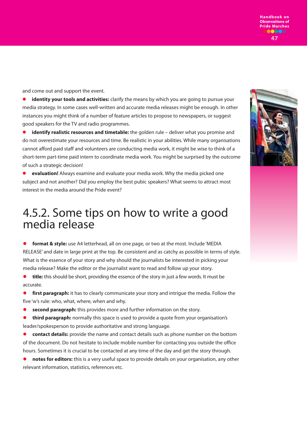**Handbook on Observations of Pride Marches** 000 **47**

and come out and support the event.

**identity your tools and activities:** clarify the means by which you are going to pursue your media strategy. In some cases well-written and accurate media releases might be enough. In other instances you might think of a number of feature articles to propose to newspapers, or suggest good speakers for the TV and radio programmes.

 **identify realistic resources and timetable:** the golden rule – deliver what you promise and do not overestimate your resources and time. Be realistic in your abilities. While many organisations cannot afford paid staff and volunteers are conducting media work, it might be wise to think of a short-term part-time paid intern to coordinate media work. You might be surprised by the outcome of such a strategic decision!

 **evaluation!** Always examine and evaluate your media work. Why the media picked one subject and not another? Did you employ the best pubic speakers? What seems to attract most interest in the media around the Pride event?

# 4.5.2. Some tips on how to write a good media release

 **format & style:** use A4 letterhead, all on one page, or two at the most. Include 'MEDIA RELEASE' and date in large print at the top. Be consistent and as catchy as possible in terms of style. What is the essence of your story and why should the journalists be interested in picking your media release? Make the editor or the journalist want to read and follow up your story.

 **title:** this should be short, providing the essence of the story in just a few words. It must be accurate.

**<sup>o</sup>** first paragraph: it has to clearly communicate your story and intrigue the media. Follow the five 'w's rule: who, what, where, when and why.

**second paragraph:** this provides more and further information on the story.

**third paragraph:** normally this space is used to provide a quote from your organisation's leader/spokesperson to provide authoritative and strong language.

 **contact details:** provide the name and contact details such as phone number on the bottom of the document. Do not hesitate to include mobile number for contacting you outside the office hours. Sometimes it is crucial to be contacted at any time of the day and get the story through.

 **notes for editors:** this is a very useful space to provide details on your organisation, any other relevant information, statistics, references etc.

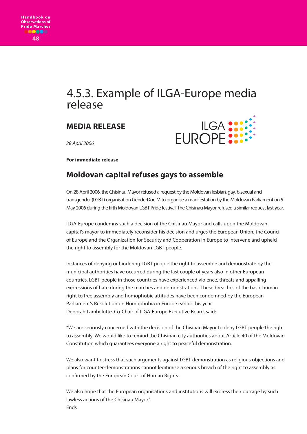# 4.5.3. Example of ILGA-Europe media release

## **MEDIA RELEASE**



28 April 2006

**For immediate release** 

## **Moldovan capital refuses gays to assemble**

On 28 April 2006, the Chisinau Mayor refused a request by the Moldovan lesbian, gay, bisexual and transgender (LGBT) organisation GenderDoc-M to organise a manifestation by the Moldovan Parliament on 5 May 2006 during the fifth Moldovan LGBT Pride festival. The Chisinau Mayor refused a similar request last year.

ILGA-Europe condemns such a decision of the Chisinau Mayor and calls upon the Moldovan capital's mayor to immediately reconsider his decision and urges the European Union, the Council of Europe and the Organization for Security and Cooperation in Europe to intervene and upheld the right to assembly for the Moldovan LGBT people.

Instances of denying or hindering LGBT people the right to assemble and demonstrate by the municipal authorities have occurred during the last couple of years also in other European countries. LGBT people in those countries have experienced violence, threats and appalling expressions of hate during the marches and demonstrations. These breaches of the basic human right to free assembly and homophobic attitudes have been condemned by the European Parliament's Resolution on Homophobia in Europe earlier this year. Deborah Lambillotte, Co-Chair of ILGA-Europe Executive Board, said:

"We are seriously concerned with the decision of the Chisinau Mayor to deny LGBT people the right to assembly. We would like to remind the Chisinau city authorities about Article 40 of the Moldovan Constitution which guarantees everyone a right to peaceful demonstration.

We also want to stress that such arguments against LGBT demonstration as religious objections and plans for counter-demonstrations cannot legitimise a serious breach of the right to assembly as confirmed by the European Court of Human Rights.

We also hope that the European organisations and institutions will express their outrage by such lawless actions of the Chisinau Mayor." **Ends**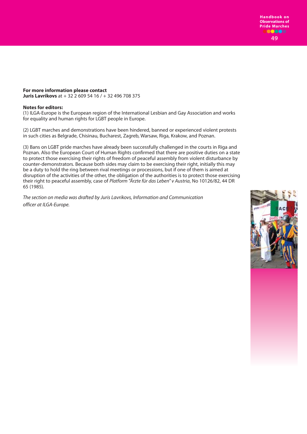#### **For more information please contact**

**Juris Lavrikovs** at + 32 2 609 54 16 / + 32 496 708 375

#### **Notes for editors:**

(1) ILGA-Europe is the European region of the International Lesbian and Gay Association and works for equality and human rights for LGBT people in Europe.

(2) LGBT marches and demonstrations have been hindered, banned or experienced violent protests in such cities as Belgrade, Chisinau, Bucharest, Zagreb, Warsaw, Riga, Krakow, and Poznan.

(3) Bans on LGBT pride marches have already been successfully challenged in the courts in Riga and Poznan. Also the European Court of Human Rights confirmed that there are positive duties on a state to protect those exercising their rights of freedom of peaceful assembly from violent disturbance by counter-demonstrators. Because both sides may claim to be exercising their right, initially this may be a duty to hold the ring between rival meetings or processions, but if one of them is aimed at disruption of the activities of the other, the obligation of the authorities is to protect those exercising their right to peaceful assembly, case of Platform "Ärzte für das Leben" v Austria, No 10126/82, 44 DR 65 (1985).

The section on media was drafted by Juris Lavrikovs, Information and Communication officer at ILGA-Europe.

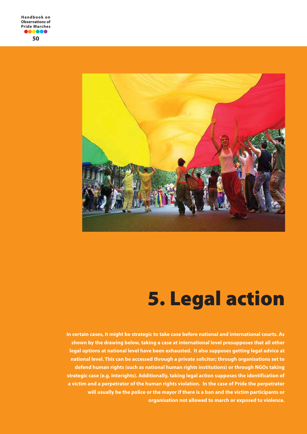

# **5. Legal action**

**In certain cases, it might be strategic to take case before national and international courts. As shown by the drawing below, taking a case at international level presupposes that all other legal options at national level have been exhausted. It also supposes getting legal advice at national level. This can be accessed through a private solicitor; through organisations set to defend human rights (such as national human rights institutions) or through NGOs taking strategic case (e.g. Interights). Additionally, taking legal action supposes the identification of a victim and a perpetrator of the human rights violation. In the case of Pride the perpetrator will usually be the police or the mayor if there is a ban and the victim participants or organisation not allowed to march or exposed to violence.**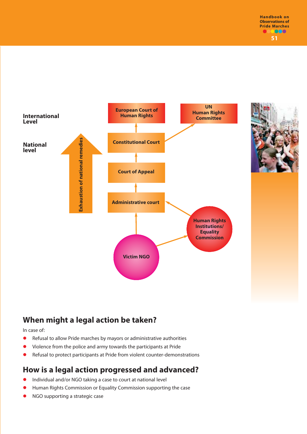

# **When might a legal action be taken?**

In case of:

- Refusal to allow Pride marches by mayors or administrative authorities
- Violence from the police and army towards the participants at Pride
- Refusal to protect participants at Pride from violent counter-demonstrations

## **How is a legal action progressed and advanced?**

- Individual and/or NGO taking a case to court at national level
- Human Rights Commission or Equality Commission supporting the case
- NGO supporting a strategic case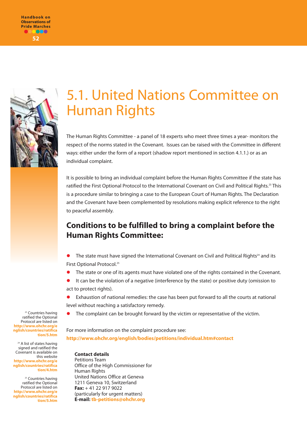



# 5.1. United Nations Committee on Human Rights

The Human Rights Committee - a panel of 18 experts who meet three times a year- monitors the respect of the norms stated in the Covenant. Issues can be raised with the Committee in different ways: either under the form of a report (shadow report mentioned in section 4.1.1.) or as an individual complaint.

It is possible to bring an individual complaint before the Human Rights Committee if the state has ratified the First Optional Protocol to the International Covenant on Civil and Political Rights.<sup>23</sup> This is a procedure similar to bringing a case to the European Court of Human Rights. The Declaration and the Covenant have been complemented by resolutions making explicit reference to the right to peaceful assembly.

# **Conditions to be fulfilled to bring a complaint before the Human Rights Committee:**

- The state must have signed the International Covenant on Civil and Political Rights<sup>24</sup> and its First Optional Protocol.<sup>25</sup>
- The state or one of its agents must have violated one of the rights contained in the Covenant.
- It can be the violation of a negative (interference by the state) or positive duty (omission to act to protect rights).

 Exhaustion of national remedies: the case has been put forward to all the courts at national level without reaching a satisfactory remedy.

The complaint can be brought forward by the victim or representative of the victim.

For more information on the complaint procedure see: **http://www.ohchr.org/english/bodies/petitions/individual.htm#contact** 

#### **Contact details**

Petitions Team Office of the High Commissioner for Human Rights United Nations Office at Geneva 1211 Geneva 10, Switzerland **Fax:** + 41 22 917 9022 (particularly for urgent matters) **E-mail: tb-petitions@ohchr.org**

<sup>23</sup> Countries having ratified the Optional Protocol are listed on **http://www.ohchr.org/e nglish/countries/ratifica tion/5.htm** 

<sup>24</sup> A list of states having signed and ratified the Covenant is available on this website **http://www.ohchr.org/e nglish/countries/ratifica tion/4.htm**

<sup>25</sup> Countries having ratified the Optional Protocol are listed on **http://www.ohchr.org/e nglish/countries/ratifica tion/5.htm**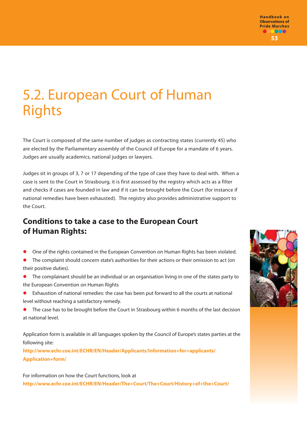# 5.2. European Court of Human Rights

The Court is composed of the same number of judges as contracting states (currently 45) who are elected by the Parliamentary assembly of the Council of Europe for a mandate of 6 years. Judges are usually academics, national judges or lawyers.

Judges sit in groups of 3, 7 or 17 depending of the type of case they have to deal with. When a case is sent to the Court in Strasbourg, it is first assessed by the registry which acts as a filter and checks if cases are founded in law and if it can be brought before the Court (for instance if national remedies have been exhausted). The registry also provides administrative support to the Court.

## **Conditions to take a case to the European Court of Human Rights:**

- One of the rights contained in the European Convention on Human Rights has been violated.
- The complaint should concern state's authorities for their actions or their omission to act (on their positive duties).
- The complainant should be an individual or an organisation living in one of the states party to the European Convention on Human Rights
- Exhaustion of national remedies: the case has been put forward to all the courts at national level without reaching a satisfactory remedy.
- The case has to be brought before the Court in Strasbourg within 6 months of the last decision at national level.

Application form is available in all languages spoken by the Council of Europe's states parties at the following site:

**http://www.echr.coe.int/ECHR/EN/Header/Applicants/Information+for+applicants/ Application+form/** 

For information on how the Court functions, look at **http://www.echr.coe.int/ECHR/EN/Header/The+Court/The+Court/History+of+the+Court/** 

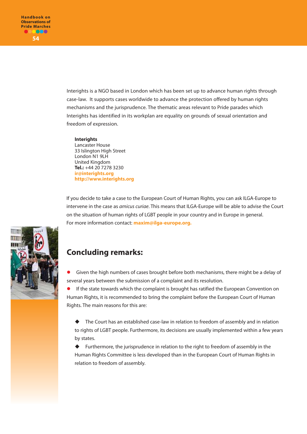Interights is a NGO based in London which has been set up to advance human rights through case-law. It supports cases worldwide to advance the protection offered by human rights mechanisms and the jurisprudence. The thematic areas relevant to Pride parades which Interights has identified in its workplan are equality on grounds of sexual orientation and freedom of expression.

#### **Interights**

Lancaster House 33 Islington High Street London N1 9LH United Kingdom **Tel.:** +44 20 7278 3230 **ir@interights.org http://www.interights.org**

If you decide to take a case to the European Court of Human Rights, you can ask ILGA-Europe to intervene in the case as *amicus curiae*. This means that ILGA-Europe will be able to advise the Court on the situation of human rights of LGBT people in your country and in Europe in general. For more information contact: **maxim@ilga-europe.org.**



## **Concluding remarks:**

 Given the high numbers of cases brought before both mechanisms, there might be a delay of several years between the submission of a complaint and its resolution.

 If the state towards which the complaint is brought has ratified the European Convention on Human Rights, it is recommended to bring the complaint before the European Court of Human Rights. The main reasons for this are:

- The Court has an established case-law in relation to freedom of assembly and in relation to rights of LGBT people. Furthermore, its decisions are usually implemented within a few years by states.

 $\ddot{\bullet}$  Furthermore, the jurisprudence in relation to the right to freedom of assembly in the Human Rights Committee is less developed than in the European Court of Human Rights in relation to freedom of assembly.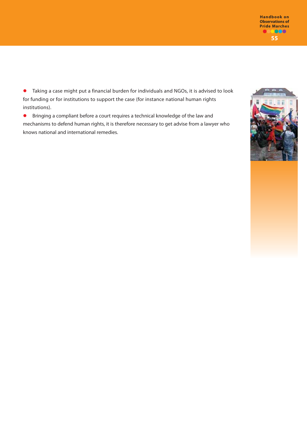**55 Handbook on Observations of Pride Marches**

 Taking a case might put a financial burden for individuals and NGOs, it is advised to look for funding or for institutions to support the case (for instance national human rights institutions).

 Bringing a compliant before a court requires a technical knowledge of the law and mechanisms to defend human rights, it is therefore necessary to get advise from a lawyer who knows national and international remedies.

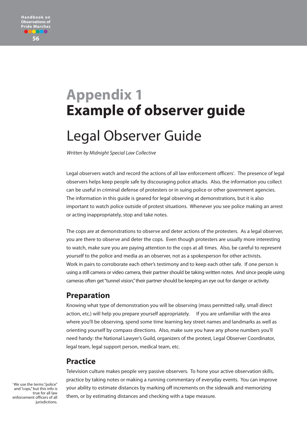

# **Appendix 1 Example of observer guide** Legal Observer Guide

Written by Midnight Special Law Collective

Legal observers watch and record the actions of all law enforcement officers? . The presence of legal observers helps keep people safe by discouraging police attacks. Also, the information you collect can be useful in criminal defense of protesters or in suing police or other government agencies. The information in this guide is geared for legal observing at demonstrations, but it is also important to watch police outside of protest situations. Whenever you see police making an arrest or acting inappropriately, stop and take notes.

The cops are at demonstrations to observe and deter actions of the protesters. As a legal observer, you are there to observe and deter the cops. Even though protesters are usually more interesting to watch, make sure you are paying attention to the cops at all times. Also, be careful to represent yourself to the police and media as an observer, not as a spokesperson for other activists. Work in pairs to corroborate each other's testimony and to keep each other safe. If one person is using a still camera or video camera, their partner should be taking written notes. And since people using cameras often get "tunnel vision,"their partner should be keeping an eye out for danger or activity.

### **Preparation**

Knowing what type of demonstration you will be observing (mass permitted rally, small direct action, etc.) will help you prepare yourself appropriately. If you are unfamiliar with the area where you'll be observing, spend some time learning key street names and landmarks as well as orienting yourself by compass directions. Also, make sure you have any phone numbers you'll need handy: the National Lawyer's Guild, organizers of the protest, Legal Observer Coordinator, legal team, legal support person, medical team, etc.

### **Practice**

Television culture makes people very passive observers. To hone your active observation skills, practice by taking notes or making a running commentary of everyday events. You can improve your ability to estimate distances by marking off increments on the sidewalk and memorizing them, or by estimating distances and checking with a tape measure.

? We use the terms "police" and "cops," but this info is true for all law enforcement officers of all jurisdictions.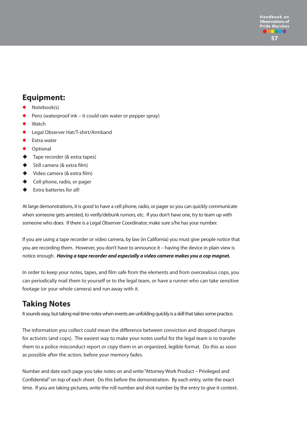## **Equipment:**

- Notebook(s)
- Pens (waterproof ink it could rain water or pepper spray)
- Watch
- Legal Observer Hat/T-shirt/Armband
- **Extra water**
- Optional
- $\ddot{\bullet}$ Tape recorder (& extra tapes)
- $\ddot{\bullet}$ Still camera (& extra film)
- $\ddot{\bullet}$ Video camera (& extra film)
- $\ddot{\bullet}$ Cell phone, radio, or pager
- $\ddot{\bullet}$ Extra batteries for all!

At large demonstrations, it is good to have a cell phone, radio, or pager so you can quickly communicate when someone gets arrested, to verify/debunk rumors, etc. If you don't have one, try to team up with someone who does. If there is a Legal Observer Coordinator, make sure s/he has your number.

If you are using a tape recorder or video camera, by law (in California) you must give people notice that you are recording them. However, you don't have to announce it – having the device in plain view is notice enough. *Having a tape recorder and especially a video camera makes you a cop magnet.*

In order to keep your notes, tapes, and film safe from the elements and from overzealous cops, you can periodically mail them to yourself or to the legal team, or have a runner who can take sensitive footage (or your whole camera) and run away with it.

# **Taking Notes**

It sounds easy, but taking real-time notes when events are unfolding quickly is a skill that takes some practice.

The information you collect could mean the difference between conviction and dropped charges for activists (and cops). The easiest way to make your notes useful for the legal team is to transfer them to a police misconduct report or copy them in an organized, legible format. Do this as soon as possible after the action, before your memory fades.

Number and date each page you take notes on and write "Attorney Work Product – Privileged and Confidential" on top of each sheet. Do this before the demonstration. By each entry, write the exact time. If you are taking pictures, write the roll number and shot number by the entry to give it context.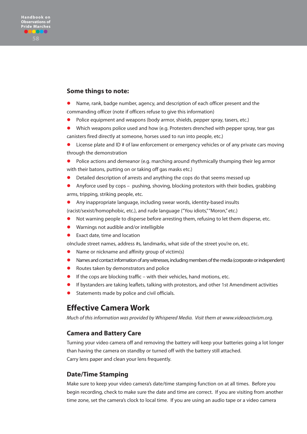#### **Some things to note:**

- Name, rank, badge number, agency, and description of each officer present and the commanding officer (note if officers refuse to give this information)
- Police equipment and weapons (body armor, shields, pepper spray, tasers, etc.)
- Which weapons police used and how (e.g. Protesters drenched with pepper spray, tear gas canisters fired directly at someone, horses used to run into people, etc.)
- License plate and ID # of law enforcement or emergency vehicles or of any private cars moving through the demonstration
- Police actions and demeanor (e.g. marching around rhythmically thumping their leg armor with their batons, putting on or taking off gas masks etc.)
- Detailed description of arrests and anything the cops do that seems messed up
- Anyforce used by cops pushing, shoving, blocking protestors with their bodies, grabbing arms, tripping, striking people, etc.
- Any inappropriate language, including swear words, identity-based insults

(racist/sexist/homophobic, etc.), and rude language ("You idiots,""Moron," etc.)

- Not warning people to disperse before arresting them, refusing to let them disperse, etc.
- Warnings not audible and/or intelligible
- Exact date, time and location

oInclude street names, address #s, landmarks, what side of the street you're on, etc.

- Name or nickname and affinity group of victim(s)
- Names and contact information of any witnesses, including members of the media (corporate or independent)
- Routes taken by demonstrators and police
- If the cops are blocking traffic with their vehicles, hand motions, etc.
- If bystanders are taking leaflets, talking with protestors, and other 1st Amendment activities
- Statements made by police and civil officials.

### **Effective Camera Work**

Much of this information was provided by Whispered Media. Visit them at www.videoactivism.org.

#### **Camera and Battery Care**

Turning your video camera off and removing the battery will keep your batteries going a lot longer than having the camera on standby or turned off with the battery still attached. Carry lens paper and clean your lens frequently.

#### **Date/Time Stamping**

Make sure to keep your video camera's date/time stamping function on at all times. Before you begin recording, check to make sure the date and time are correct. If you are visiting from another time zone, set the camera's clock to local time. If you are using an audio tape or a video camera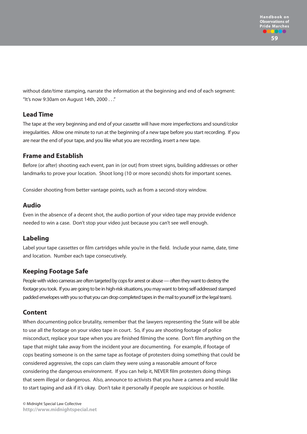without date/time stamping, narrate the information at the beginning and end of each segment: "It's now 9:30am on August 14th, 2000 . . ."

### **Lead Time**

The tape at the very beginning and end of your cassette will have more imperfections and sound/color irregularities. Allow one minute to run at the beginning of a new tape before you start recording. If you are near the end of your tape, and you like what you are recording, insert a new tape.

### **Frame and Establish**

Before (or after) shooting each event, pan in (or out) from street signs, building addresses or other landmarks to prove your location. Shoot long (10 or more seconds) shots for important scenes.

Consider shooting from better vantage points, such as from a second-story window.

### **Audio**

Even in the absence of a decent shot, the audio portion of your video tape may provide evidence needed to win a case. Don't stop your video just because you can't see well enough.

### **Labeling**

Label your tape cassettes or film cartridges while you're in the field. Include your name, date, time and location. Number each tape consecutively.

### **Keeping Footage Safe**

People with video cameras are often targeted by cops for arrest or abuse — often they want to destroy the footage you took. If you are going to be in high-risk situations, you may want to bring self-addressed stamped padded envelopes with you so that you can drop completed tapes in the mail to yourself (or the legal team).

### **Content**

When documenting police brutality, remember that the lawyers representing the State will be able to use all the footage on your video tape in court. So, if you are shooting footage of police misconduct, replace your tape when you are finished filming the scene. Don't film anything on the tape that might take away from the incident your are documenting. For example, if footage of cops beating someone is on the same tape as footage of protesters doing something that could be considered aggressive, the cops can claim they were using a reasonable amount of force considering the dangerous environment. If you can help it, NEVER film protesters doing things that seem illegal or dangerous. Also, announce to activists that you have a camera and would like to start taping and ask if it's okay. Don't take it personally if people are suspicious or hostile.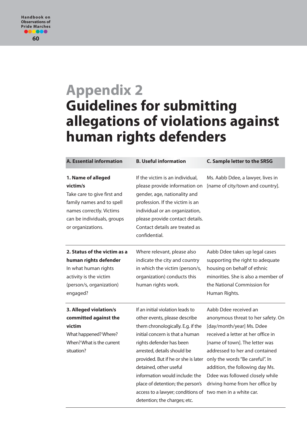# **Appendix 2 Guidelines for submitting allegations of violations against human rights defenders**

| <b>A. Essential information</b>                                                                                                                                           | <b>B. Useful information</b>                                                                                                                                                                                                                                                                                                                                                                                                             | <b>C. Sample letter to the SRSG</b>                                                                                                                                                                                                                                                                                                            |
|---------------------------------------------------------------------------------------------------------------------------------------------------------------------------|------------------------------------------------------------------------------------------------------------------------------------------------------------------------------------------------------------------------------------------------------------------------------------------------------------------------------------------------------------------------------------------------------------------------------------------|------------------------------------------------------------------------------------------------------------------------------------------------------------------------------------------------------------------------------------------------------------------------------------------------------------------------------------------------|
| 1. Name of alleged<br>victim/s<br>Take care to give first and<br>family names and to spell<br>names correctly. Victims<br>can be individuals, groups<br>or organizations. | If the victim is an individual,<br>please provide information on<br>gender, age, nationality and<br>profession. If the victim is an<br>individual or an organization,<br>please provide contact details.<br>Contact details are treated as<br>confidential.                                                                                                                                                                              | Ms. Aabb Ddee, a lawyer, lives in<br>[name of city/town and country].                                                                                                                                                                                                                                                                          |
| 2. Status of the victim as a<br>human rights defender<br>In what human rights<br>activity is the victim<br>(person/s, organization)<br>engaged?                           | Where relevant, please also<br>indicate the city and country<br>in which the victim (person/s,<br>organization) conducts this<br>human rights work.                                                                                                                                                                                                                                                                                      | Aabb Ddee takes up legal cases<br>supporting the right to adequate<br>housing on behalf of ethnic<br>minorities. She is also a member of<br>the National Commission for<br>Human Rights.                                                                                                                                                       |
| 3. Alleged violation/s<br>committed against the<br>victim<br>What happened? Where?<br>When? What is the current<br>situation?                                             | If an initial violation leads to<br>other events, please describe<br>them chronologically. E.g. if the<br>initial concern is that a human<br>rights defender has been<br>arrested, details should be<br>provided. But if he or she is later<br>detained, other useful<br>information would include: the<br>place of detention; the person's<br>access to a lawyer; conditions of two men in a white car.<br>detention; the charges; etc. | Aabb Ddee received an<br>anonymous threat to her safety. On<br>[day/month/year] Ms. Ddee<br>received a letter at her office in<br>[name of town]. The letter was<br>addressed to her and contained<br>only the words "Be careful". In<br>addition, the following day Ms.<br>Ddee was followed closely while<br>driving home from her office by |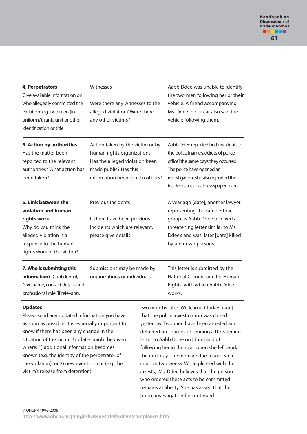| 4. Perpetrators                                            | Witnesses                        | Aabb Ddee was unable to identify       |  |
|------------------------------------------------------------|----------------------------------|----------------------------------------|--|
| Give available information on                              |                                  | the two men following her or their     |  |
| who allegedly committed the                                | Were there any witnesses to the  | vehicle. A friend accompanying         |  |
| violation: e.g. two men (in                                | alleged violation? Were there    | Ms. Ddee in her car also saw the       |  |
| uniform?); rank, unit or other<br>identification or title. | any other victims?               | vehicle following them.                |  |
| 5. Action by authorities                                   | Action taken by the victim or by | Aabb Ddee reported both incidents to   |  |
| Has the matter been                                        | human rights organizations       | the police [name/address of police     |  |
| reported to the relevant                                   | Has the alleged violation been   | office] the same days they occurred.   |  |
| authorities? What action has                               | made public? Has this            | The police have opened an              |  |
| been taken?                                                | information been sent to others? | investigation. She also reported the   |  |
|                                                            |                                  | incidents to a local newspaper [name]. |  |
| 6. Link between the                                        | Previous incidents               | A year ago [date], another lawyer      |  |
| violation and human                                        |                                  | representing the same ethnic           |  |
| rights work                                                | If there have been previous      | group as Aabb Ddee received a          |  |
| Why do you think the                                       | incidents which are relevant,    | threatening letter similar to Ms.      |  |
| alleged violation is a                                     | please give details.             | Ddee's and was later [date] killed     |  |
| response to the human                                      |                                  | by unknown persons.                    |  |
| rights work of the victim?                                 |                                  |                                        |  |
| 7. Who is submitting this                                  | Submissions may be made by       | This letter is submitted by the        |  |
| information? (Confidential)                                | organizations or individuals.    | <b>National Commission for Human</b>   |  |
| Give name, contact details and                             |                                  | Rights, with which Aabb Ddee           |  |
| professional role (if relevant).                           |                                  | works.                                 |  |
|                                                            |                                  |                                        |  |

#### **Updates**

Please send any updated information you have as soon as possible. It is especially important to know if there has been any change in the situation of the victim. Updates might be given where: 1) additional information becomes known (e.g. the identity of the perpetrator of the violation); or 2) new events occur (e.g. the victim's release from detention).

two months later] We learned today [date] that the police investigation was closed yesterday. Two men have been arrested and detained on charges of sending a threatening letter to Aabb Ddee on [date] and of following her in their car when she left work the next day. The men are due to appear in court in two weeks. While pleased with the arrests, Ms. Ddee believes that the person who ordered these acts to be committed remains at liberty. She has asked that the police investigation be continued.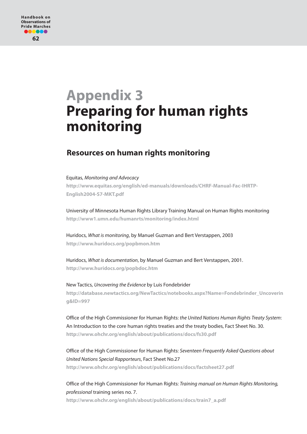# **Appendix 3 Preparing for human rights monitoring**

## **Resources on human rights monitoring**

#### Equitas, Monitoring and Advocacy

**http://www.equitas.org/english/ed-manuals/downloads/CHRF-Manual-Fac-IHRTP-English2004-S7-MKT.pdf**

University of Minnesota Human Rights Library Training Manual on Human Rights monitoring **http://www1.umn.edu/humanrts/monitoring/index.html** 

Huridocs, What is monitoring, by Manuel Guzman and Bert Verstappen, 2003 **http://www.huridocs.org/popbmon.htm**

Huridocs, What is documentation, by Manuel Guzman and Bert Verstappen, 2001. **http://www.huridocs.org/popbdoc.htm**

New Tactics, Uncovering the Evidence by Luis Fondebrider **http://database.newtactics.org/NewTactics/notebooks.aspx?Name=Fondebrinder\_Uncoverin g&ID=997** 

Office of the High Commissioner for Human Rights: the United Nations Human Rights Treaty System: An Introduction to the core human rights treaties and the treaty bodies, Fact Sheet No. 30. **http://www.ohchr.org/english/about/publications/docs/fs30.pdf**

Office of the High Commissioner for Human Rights: Seventeen Frequently Asked Questions about United Nations Special Rapporteurs, Fact Sheet No.27 **http://www.ohchr.org/english/about/publications/docs/factsheet27.pdf**

Office of the High Commissioner for Human Rights: Training manual on Human Rights Monitoring, professional training series no. 7.

**http://www.ohchr.org/english/about/publications/docs/train7\_a.pdf**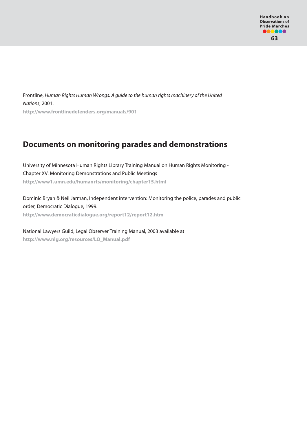Frontline, Human Rights Human Wrongs: A guide to the human rights machinery of the United Nations, 2001. **http://www.frontlinedefenders.org/manuals/901**

## **Documents on monitoring parades and demonstrations**

University of Minnesota Human Rights Library Training Manual on Human Rights Monitoring - Chapter XV: Monitoring Demonstrations and Public Meetings **http://www1.umn.edu/humanrts/monitoring/chapter15.html** 

Dominic Bryan & Neil Jarman, Independent intervention: Monitoring the police, parades and public order, Democratic Dialogue, 1999. **http://www.democraticdialogue.org/report12/report12.htm**

National Lawyers Guild, Legal Observer Training Manual, 2003 available at **http://www.nlg.org/resources/LO\_Manual.pdf**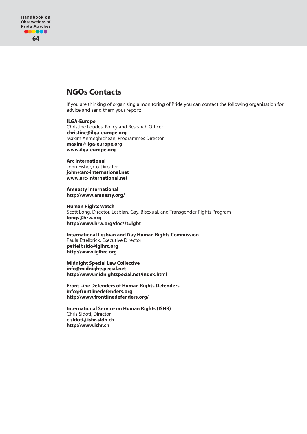### **NGOs Contacts**

If you are thinking of organising a monitoring of Pride you can contact the following organisation for advice and send them your report:

#### **ILGA-Europe**

Christine Loudes, Policy and Research Officer **christine@ilga-europe.org** Maxim Anmeghichean, Programmes Director **maxim@ilga-europe.org www.ilga-europe.org** 

#### **Arc International**

John Fisher, Co-Director **john@arc-international.net www.arc-international.net**

**Amnesty International http://www.amnesty.org/**

**Human Rights Watch** Scott Long, Director, Lesbian, Gay, Bisexual, and Transgender Rights Program **longs@hrw.org http://www.hrw.org/doc/?t=lgbt**

**International Lesbian and Gay Human Rights Commission** Paula Ettelbrick, Executive Director **pettelbrick@iglhrc.org http://www.iglhrc.org**

**Midnight Special Law Collective info@midnightspecial.net http://www.midnightspecial.net/index.html** 

**Front Line Defenders of Human Rights Defenders info@frontlinedefenders.org http://www.frontlinedefenders.org/** 

**International Service on Human Rights (ISHR)** Chris Sidoti, Director **c.sidoti@ishr-sidh.ch http://www.ishr.ch**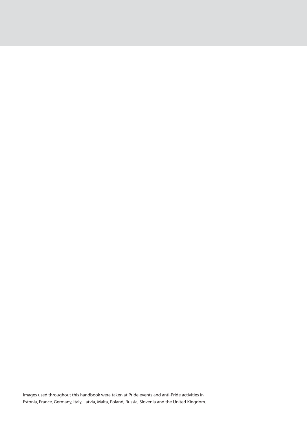Images used throughout this handbook were taken at Pride events and anti-Pride activities in Estonia, France, Germany, Italy, Latvia, Malta, Poland, Russia, Slovenia and the United Kingdom.